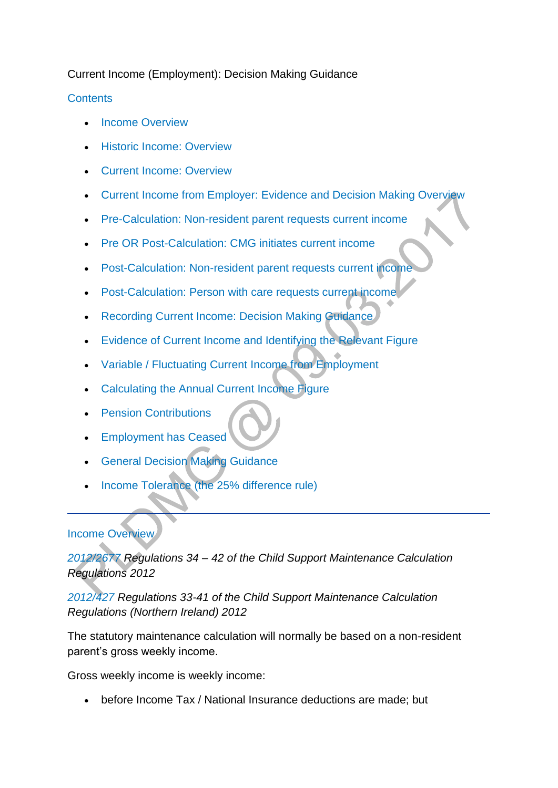# Current Income (Employment): Decision Making Guidance

# **[Contents](http://np-cmg-sharepoint.link2.gpn.gov.uk/sites/policy-law-and-decision-making-guidance/Pages/Calculations/General/Current-income-employed.aspx?ControlMode=Edit&DisplayMode=Design)**

- [Income Overview](http://np-cmg-sharepoint.link2.gpn.gov.uk/sites/policy-law-and-decision-making-guidance/Pages/Calculations/General/Current-income-employed.aspx#1)
- [Historic Income: Overview](http://np-cmg-sharepoint.link2.gpn.gov.uk/sites/policy-law-and-decision-making-guidance/Pages/Calculations/General/Current-income-employed.aspx#2)
- [Current Income: Overview](http://np-cmg-sharepoint.link2.gpn.gov.uk/sites/policy-law-and-decision-making-guidance/Pages/Calculations/General/Current-income-employed.aspx#3)
- [Current Income from Employer: Evidence and Decision Making Overview](http://np-cmg-sharepoint.link2.gpn.gov.uk/sites/policy-law-and-decision-making-guidance/Pages/Calculations/General/Current-income-employed.aspx#4)
- [Pre-Calculation: Non-resident parent requests current income](http://np-cmg-sharepoint.link2.gpn.gov.uk/sites/policy-law-and-decision-making-guidance/Pages/Calculations/General/Current-income-employed.aspx#5)
- [Pre OR Post-Calculation: CMG initiates current income](http://np-cmg-sharepoint.link2.gpn.gov.uk/sites/policy-law-and-decision-making-guidance/Pages/Calculations/General/Current-income-employed.aspx#6)
- [Post-Calculation: Non-resident parent requests current income](http://np-cmg-sharepoint.link2.gpn.gov.uk/sites/policy-law-and-decision-making-guidance/Pages/Calculations/General/Current-income-employed.aspx#7)
- [Post-Calculation: Person with care requests current income](http://np-cmg-sharepoint.link2.gpn.gov.uk/sites/policy-law-and-decision-making-guidance/Pages/Calculations/General/Current-income-employed.aspx#8)
- **[Recording Current Income: Decision Making Guidance](http://np-cmg-sharepoint.link2.gpn.gov.uk/sites/policy-law-and-decision-making-guidance/Pages/Calculations/General/Current-income-employed.aspx#record)**
- [Evidence of Current Income and Identifying the Relevant Figure](http://np-cmg-sharepoint.link2.gpn.gov.uk/sites/policy-law-and-decision-making-guidance/Pages/Calculations/General/Current-income-employed.aspx#Evidence)
- [Variable / Fluctuating Current Income from Employment](http://np-cmg-sharepoint.link2.gpn.gov.uk/sites/policy-law-and-decision-making-guidance/Pages/Calculations/General/Current-income-employed.aspx#fluc)
- [Calculating the Annual Current Income Figure](http://np-cmg-sharepoint.link2.gpn.gov.uk/sites/policy-law-and-decision-making-guidance/Pages/Calculations/General/Current-income-employed.aspx#al)
- [Pension Contributions](http://np-cmg-sharepoint.link2.gpn.gov.uk/sites/policy-law-and-decision-making-guidance/Pages/Calculations/General/Current-income-employed.aspx#pen)
- [Employment has Ceased](http://np-cmg-sharepoint.link2.gpn.gov.uk/sites/policy-law-and-decision-making-guidance/Pages/Calculations/General/Current-income-employed.aspx#ceased)
- **[General Decision Making Guidance](http://np-cmg-sharepoint.link2.gpn.gov.uk/sites/policy-law-and-decision-making-guidance/Pages/Calculations/General/Current-income-employed.aspx#add)**
- [Income Tolerance \(the 25% difference rule\)](http://np-cmg-sharepoint.link2.gpn.gov.uk/sites/policy-law-and-decision-making-guidance/Pages/Calculations/General/Current-income-employed.aspx#intol)

### [Income Overview](http://np-cmg-sharepoint.link2.gpn.gov.uk/sites/policy-law-and-decision-making-guidance/Pages/Calculations/General/Current-income-employed.aspx)

*[2012/2677 R](http://www.legislation.gov.uk/uksi/2012/2677)egulations 34 – 42 of the Child Support Maintenance Calculation Regulations 2012*

*[2012/427 R](http://www.legislation.gov.uk/nisr/2012/427/contents/made)egulations 33-41 of the Child Support Maintenance Calculation Regulations (Northern Ireland) 2012* 

The statutory maintenance calculation will normally be based on a non-resident parent's gross weekly income.

Gross weekly income is weekly income:

before Income Tax / National Insurance deductions are made; but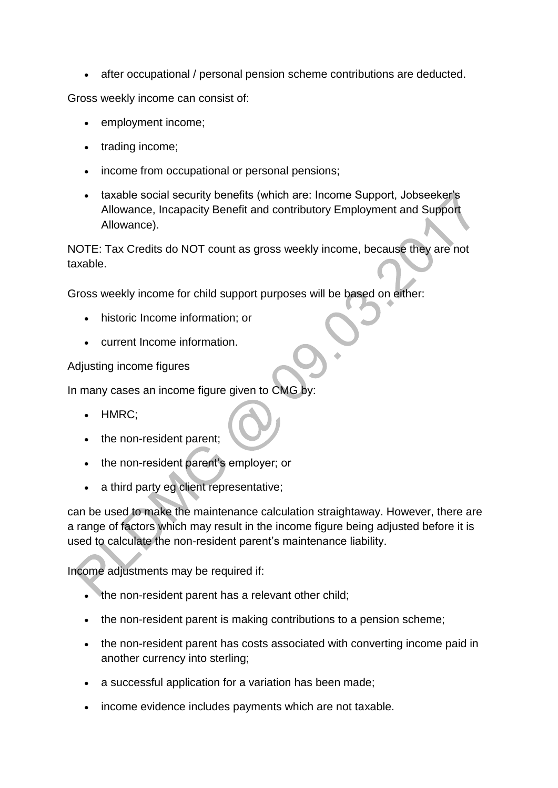after occupational / personal pension scheme contributions are deducted.

Gross weekly income can consist of:

- employment income;
- trading income;
- income from occupational or personal pensions;
- taxable social security benefits (which are: Income Support, Jobseeker's Allowance, Incapacity Benefit and contributory Employment and Support Allowance).

NOTE: Tax Credits do NOT count as gross weekly income, because they are not taxable.

Gross weekly income for child support purposes will be based on either:

- historic Income information; or
- current Income information.

Adjusting income figures

In many cases an income figure given to CMG by:

- HMRC;
- the non-resident parent;
- the non-resident parent's employer; or
- a third party eg client representative;

can be used to make the maintenance calculation straightaway. However, there are a range of factors which may result in the income figure being adjusted before it is used to calculate the non-resident parent's maintenance liability.

Income adjustments may be required if:

- the non-resident parent has a relevant other child;
- the non-resident parent is making contributions to a pension scheme;
- the non-resident parent has costs associated with converting income paid in another currency into sterling;
- a successful application for a variation has been made;
- income evidence includes payments which are not taxable.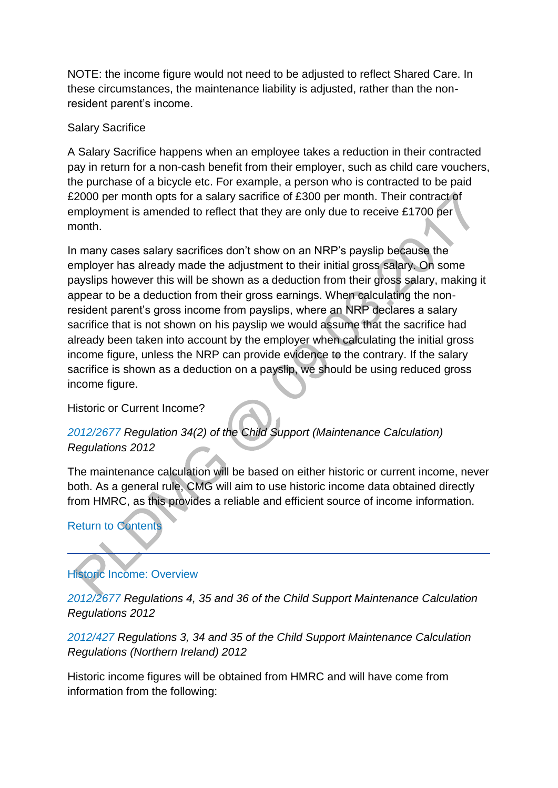NOTE: the income figure would not need to be adjusted to reflect Shared Care. In these circumstances, the maintenance liability is adjusted, rather than the nonresident parent's income.

### Salary Sacrifice

A Salary Sacrifice happens when an employee takes a reduction in their contracted pay in return for a non-cash benefit from their employer, such as child care vouchers, the purchase of a bicycle etc. For example, a person who is contracted to be paid £2000 per month opts for a salary sacrifice of £300 per month. Their contract of employment is amended to reflect that they are only due to receive £1700 per month.

In many cases salary sacrifices don't show on an NRP's payslip because the employer has already made the adjustment to their initial gross salary. On some payslips however this will be shown as a deduction from their gross salary, making it appear to be a deduction from their gross earnings. When calculating the nonresident parent's gross income from payslips, where an NRP declares a salary sacrifice that is not shown on his payslip we would assume that the sacrifice had already been taken into account by the employer when calculating the initial gross income figure, unless the NRP can provide evidence to the contrary. If the salary sacrifice is shown as a deduction on a payslip, we should be using reduced gross income figure.

Historic or Current Income?

# *[2012/2677](http://www.legislation.gov.uk/uksi/2012/2677) Regulation 34(2) of the Child Support (Maintenance Calculation) Regulations 2012*

The maintenance calculation will be based on either historic or current income, never both. As a general rule, CMG will aim to use historic income data obtained directly from HMRC, as this provides a reliable and efficient source of income information.

# [Return to Contents](http://np-cmg-sharepoint.link2.gpn.gov.uk/sites/policy-law-and-decision-making-guidance/Pages/Calculations/General/Current-income-employed.aspx?ControlMode=Edit&DisplayMode=Design)

# [Historic Income: Overview](http://np-cmg-sharepoint.link2.gpn.gov.uk/sites/policy-law-and-decision-making-guidance/Pages/Calculations/General/Current-income-employed.aspx)

*[2012/2677](http://www.legislation.gov.uk/uksi/2012/2677) Regulations 4, 35 and 36 of the Child Support Maintenance Calculation Regulations 2012*

# *[2012/427 R](http://www.legislation.gov.uk/nisr/2012/427/contents/made)egulations 3, 34 and 35 of the Child Support Maintenance Calculation Regulations (Northern Ireland) 2012*

Historic income figures will be obtained from HMRC and will have come from information from the following: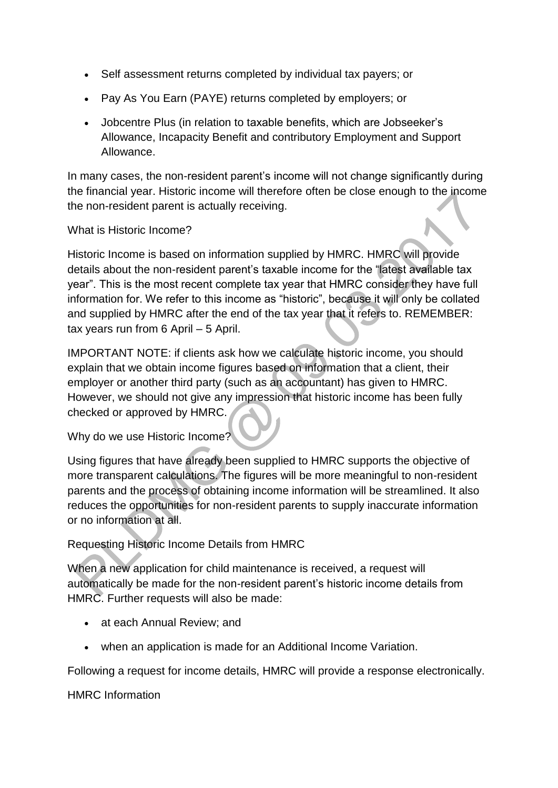- Self assessment returns completed by individual tax payers; or
- Pay As You Earn (PAYE) returns completed by employers; or
- Jobcentre Plus (in relation to taxable benefits, which are Jobseeker's Allowance, Incapacity Benefit and contributory Employment and Support Allowance.

In many cases, the non-resident parent's income will not change significantly during the financial year. Historic income will therefore often be close enough to the income the non-resident parent is actually receiving.

What is Historic Income?

Historic Income is based on information supplied by HMRC. HMRC will provide details about the non-resident parent's taxable income for the "latest available tax year". This is the most recent complete tax year that HMRC consider they have full information for. We refer to this income as "historic", because it will only be collated and supplied by HMRC after the end of the tax year that it refers to. REMEMBER: tax years run from 6 April – 5 April.

IMPORTANT NOTE: if clients ask how we calculate historic income, you should explain that we obtain income figures based on information that a client, their employer or another third party (such as an accountant) has given to HMRC. However, we should not give any impression that historic income has been fully checked or approved by HMRC.

Why do we use Historic Income?

Using figures that have already been supplied to HMRC supports the objective of more transparent calculations. The figures will be more meaningful to non-resident parents and the process of obtaining income information will be streamlined. It also reduces the opportunities for non-resident parents to supply inaccurate information or no information at all.

# Requesting Historic Income Details from HMRC

When a new application for child maintenance is received, a request will automatically be made for the non-resident parent's historic income details from HMRC. Further requests will also be made:

- at each Annual Review; and
- when an application is made for an Additional Income Variation.

Following a request for income details, HMRC will provide a response electronically.

HMRC Information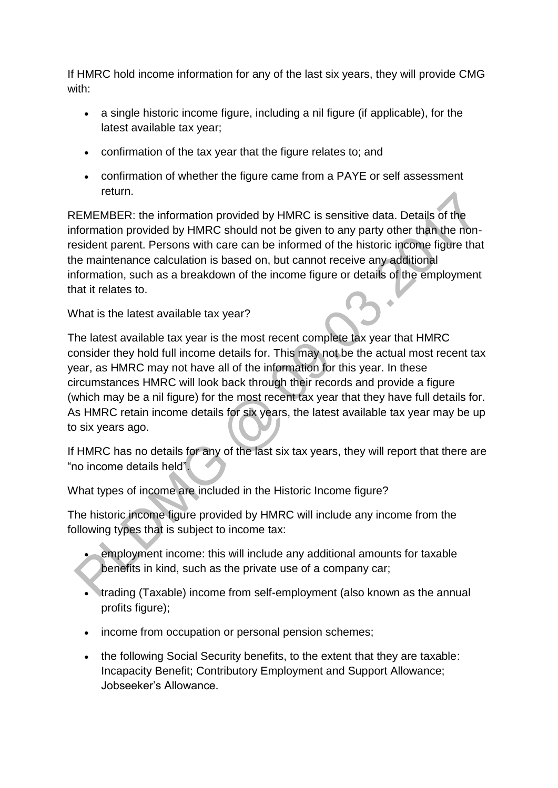If HMRC hold income information for any of the last six years, they will provide CMG with:

- a single historic income figure, including a nil figure (if applicable), for the latest available tax year;
- confirmation of the tax year that the figure relates to; and
- confirmation of whether the figure came from a PAYE or self assessment return.

REMEMBER: the information provided by HMRC is sensitive data. Details of the information provided by HMRC should not be given to any party other than the nonresident parent. Persons with care can be informed of the historic income figure that the maintenance calculation is based on, but cannot receive any additional information, such as a breakdown of the income figure or details of the employment that it relates to.

What is the latest available tax year?

The latest available tax year is the most recent complete tax year that HMRC consider they hold full income details for. This may not be the actual most recent tax year, as HMRC may not have all of the information for this year. In these circumstances HMRC will look back through their records and provide a figure (which may be a nil figure) for the most recent tax year that they have full details for. As HMRC retain income details for six years, the latest available tax year may be up to six years ago.

If HMRC has no details for any of the last six tax years, they will report that there are "no income details held".

What types of income are included in the Historic Income figure?

The historic income figure provided by HMRC will include any income from the following types that is subject to income tax:

- employment income: this will include any additional amounts for taxable benefits in kind, such as the private use of a company car;
- trading (Taxable) income from self-employment (also known as the annual profits figure);
- income from occupation or personal pension schemes;
- the following Social Security benefits, to the extent that they are taxable: Incapacity Benefit; Contributory Employment and Support Allowance; Jobseeker's Allowance.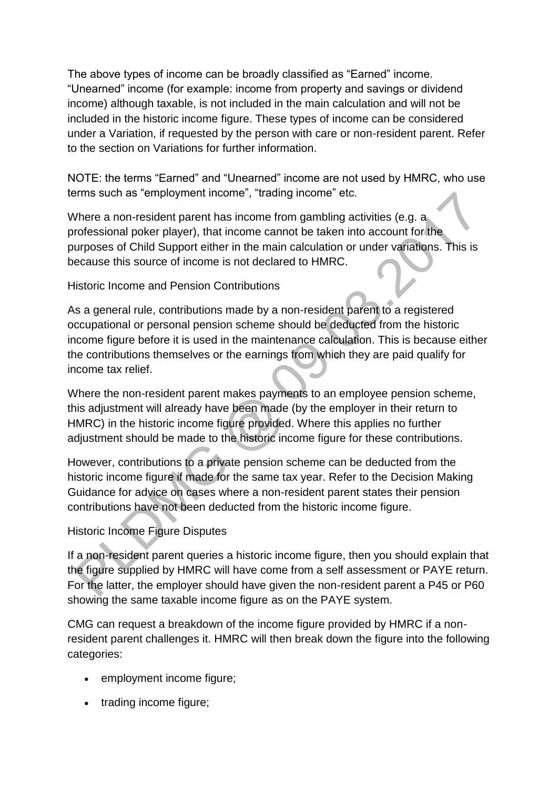The above types of income can be broadly classified as "Earned" income. "Unearned" income (for example: income from property and savings or dividend income) although taxable, is not included in the main calculation and will not be included in the historic income figure. These types of income can be considered under a Variation, if requested by the person with care or non-resident parent. Refer to the section on Variations for further information.

NOTE: the terms "Earned" and "Unearned" income are not used by HMRC, who use terms such as "employment income", "trading income" etc.

Where a non-resident parent has income from gambling activities (e.g. a professional poker player), that income cannot be taken into account for the purposes of Child Support either in the main calculation or under variations. This is because this source of income is not declared to HMRC.

Historic Income and Pension Contributions

As a general rule, contributions made by a non-resident parent to a registered occupational or personal pension scheme should be deducted from the historic income figure before it is used in the maintenance calculation. This is because either the contributions themselves or the earnings from which they are paid qualify for income tax relief.

Where the non-resident parent makes payments to an employee pension scheme, this adjustment will already have been made (by the employer in their return to HMRC) in the historic income figure provided. Where this applies no further adjustment should be made to the historic income figure for these contributions.

However, contributions to a private pension scheme can be deducted from the historic income figure if made for the same tax year. Refer to the Decision Making Guidance for advice on cases where a non-resident parent states their pension contributions have not been deducted from the historic income figure.

Historic Income Figure Disputes

If a non-resident parent queries a historic income figure, then you should explain that the figure supplied by HMRC will have come from a self assessment or PAYE return. For the latter, the employer should have given the non-resident parent a P45 or P60 showing the same taxable income figure as on the PAYE system.

CMG can request a breakdown of the income figure provided by HMRC if a nonresident parent challenges it. HMRC will then break down the figure into the following categories:

- employment income figure;
- trading income figure: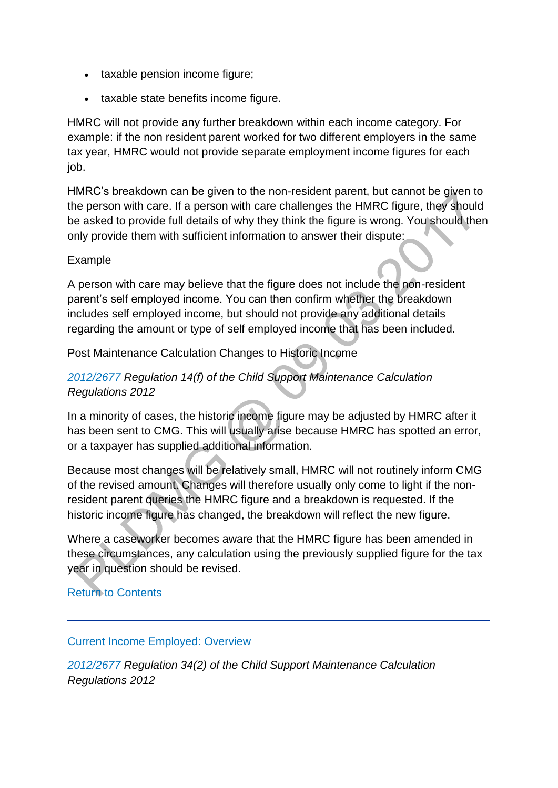- taxable pension income figure;
- taxable state benefits income figure.

HMRC will not provide any further breakdown within each income category. For example: if the non resident parent worked for two different employers in the same tax year, HMRC would not provide separate employment income figures for each job.

HMRC's breakdown can be given to the non-resident parent, but cannot be given to the person with care. If a person with care challenges the HMRC figure, they should be asked to provide full details of why they think the figure is wrong. You should then only provide them with sufficient information to answer their dispute:

### Example

A person with care may believe that the figure does not include the non-resident parent's self employed income. You can then confirm whether the breakdown includes self employed income, but should not provide any additional details regarding the amount or type of self employed income that has been included.

Post Maintenance Calculation Changes to Historic Income

# *[2012/2677](http://www.legislation.gov.uk/uksi/2012/2677) Regulation 14(f) of the Child Support Maintenance Calculation Regulations 2012*

In a minority of cases, the historic income figure may be adjusted by HMRC after it has been sent to CMG. This will usually arise because HMRC has spotted an error, or a taxpayer has supplied additional information.

Because most changes will be relatively small, HMRC will not routinely inform CMG of the revised amount. Changes will therefore usually only come to light if the nonresident parent queries the HMRC figure and a breakdown is requested. If the historic income figure has changed, the breakdown will reflect the new figure.

Where a caseworker becomes aware that the HMRC figure has been amended in these circumstances, any calculation using the previously supplied figure for the tax year in question should be revised.

### [Return to Contents](http://np-cmg-sharepoint.link2.gpn.gov.uk/sites/policy-law-and-decision-making-guidance/Pages/Calculations/General/Current-income-employed.aspx#con)

### [Current Income Employed: Overview](http://np-cmg-sharepoint.link2.gpn.gov.uk/sites/policy-law-and-decision-making-guidance/Pages/Calculations/General/Current-income-employed.aspx)

*[2012/2677](http://www.legislation.gov.uk/uksi/2012/2677) Regulation 34(2) of the Child Support Maintenance Calculation Regulations 2012*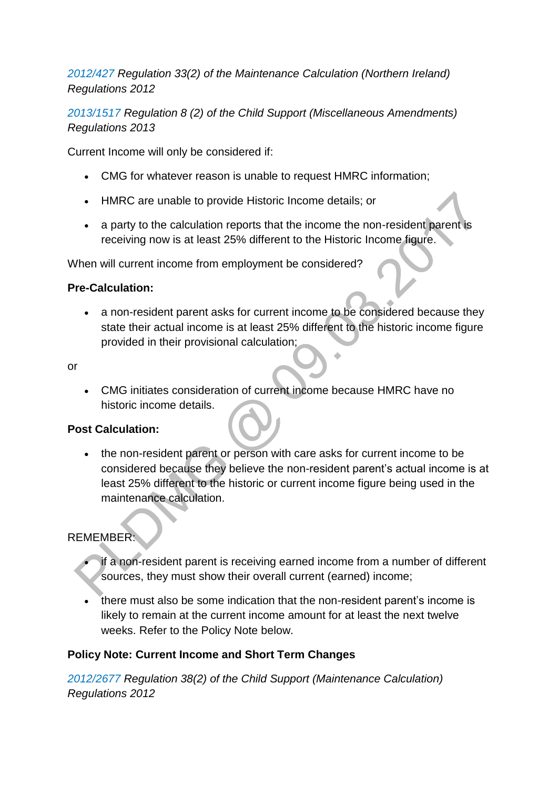*[2012/427 R](http://www.legislation.gov.uk/nisr/2012/427/contents/made)egulation 33(2) of the Maintenance Calculation (Northern Ireland) Regulations 2012*

*[2013/1517 R](http://www.legislation.gov.uk/uksi/2013/1517/contents/made)egulation 8 (2) of the Child Support (Miscellaneous Amendments) Regulations 2013* 

Current Income will only be considered if:

- CMG for whatever reason is unable to request HMRC information;
- HMRC are unable to provide Historic Income details; or
- a party to the calculation reports that the income the non-resident parent is receiving now is at least 25% different to the Historic Income figure.

When will current income from employment be considered?

#### **Pre-Calculation:**

 a non-resident parent asks for current income to be considered because they state their actual income is at least 25% different to the historic income figure provided in their provisional calculation;

or

 CMG initiates consideration of current income because HMRC have no historic income details.

### **Post Calculation:**

• the non-resident parent or person with care asks for current income to be considered because they believe the non-resident parent's actual income is at least 25% different to the historic or current income figure being used in the maintenance calculation.

### REMEMBER:

- if a non-resident parent is receiving earned income from a number of different sources, they must show their overall current (earned) income;
- there must also be some indication that the non-resident parent's income is likely to remain at the current income amount for at least the next twelve weeks. Refer to the Policy Note below.

### **Policy Note: Current Income and Short Term Changes**

*[2012/2677](http://www.legislation.gov.uk/uksi/2012/2677) Regulation 38(2) of the Child Support (Maintenance Calculation) Regulations 2012*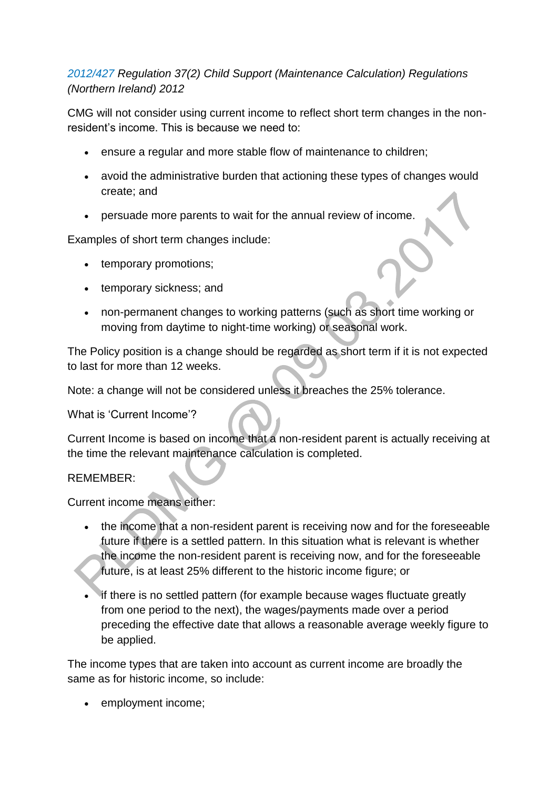# *[2012/427 R](http://www.legislation.gov.uk/nisr/2012/427/contents/made)egulation 37(2) Child Support (Maintenance Calculation) Regulations (Northern Ireland) 2012*

CMG will not consider using current income to reflect short term changes in the nonresident's income. This is because we need to:

- ensure a regular and more stable flow of maintenance to children;
- avoid the administrative burden that actioning these types of changes would create; and
- persuade more parents to wait for the annual review of income.

Examples of short term changes include:

- temporary promotions;
- temporary sickness; and
- non-permanent changes to working patterns (such as short time working or moving from daytime to night-time working) or seasonal work.

The Policy position is a change should be regarded as short term if it is not expected to last for more than 12 weeks.

Note: a change will not be considered unless it breaches the 25% tolerance.

What is 'Current Income'?

Current Income is based on income that a non-resident parent is actually receiving at the time the relevant maintenance calculation is completed.

### REMEMBER:

Current income means either:

- the income that a non-resident parent is receiving now and for the foreseeable future if there is a settled pattern. In this situation what is relevant is whether the income the non-resident parent is receiving now, and for the foreseeable future, is at least 25% different to the historic income figure; or
- if there is no settled pattern (for example because wages fluctuate greatly from one period to the next), the wages/payments made over a period preceding the effective date that allows a reasonable average weekly figure to be applied.

The income types that are taken into account as current income are broadly the same as for historic income, so include:

• employment income: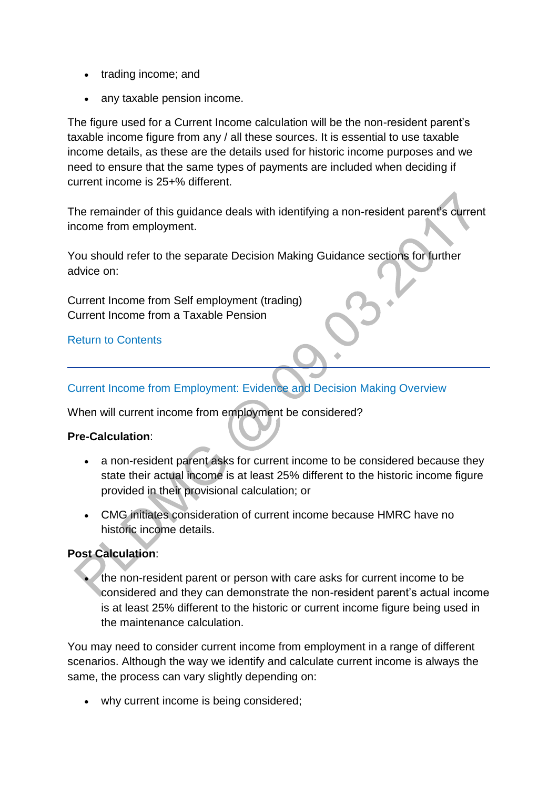- trading income; and
- any taxable pension income.

The figure used for a Current Income calculation will be the non-resident parent's taxable income figure from any / all these sources. It is essential to use taxable income details, as these are the details used for historic income purposes and we need to ensure that the same types of payments are included when deciding if current income is 25+% different.

The remainder of this guidance deals with identifying a non-resident parent's current income from employment.

You should refer to the separate Decision Making Guidance sections for further advice on:

Current Income from Self employment (trading) Current Income from a Taxable Pension

# [Return to Contents](http://np-cmg-sharepoint.link2.gpn.gov.uk/sites/policy-law-and-decision-making-guidance/Pages/Calculations/General/Current-income-employed.aspx#con)

# [Current Income from Employment: Evidence and Decision Making Overview](http://np-cmg-sharepoint.link2.gpn.gov.uk/sites/policy-law-and-decision-making-guidance/Pages/Calculations/General/Current-income-employed.aspx?ControlMode=Edit&DisplayMode=Design)

When will current income from employment be considered?

### **Pre-Calculation**:

- a non-resident parent asks for current income to be considered because they state their actual income is at least 25% different to the historic income figure provided in their provisional calculation; or
- CMG initiates consideration of current income because HMRC have no historic income details.

# **Post Calculation**:

 the non-resident parent or person with care asks for current income to be considered and they can demonstrate the non-resident parent's actual income is at least 25% different to the historic or current income figure being used in the maintenance calculation.

You may need to consider current income from employment in a range of different scenarios. Although the way we identify and calculate current income is always the same, the process can vary slightly depending on:

why current income is being considered;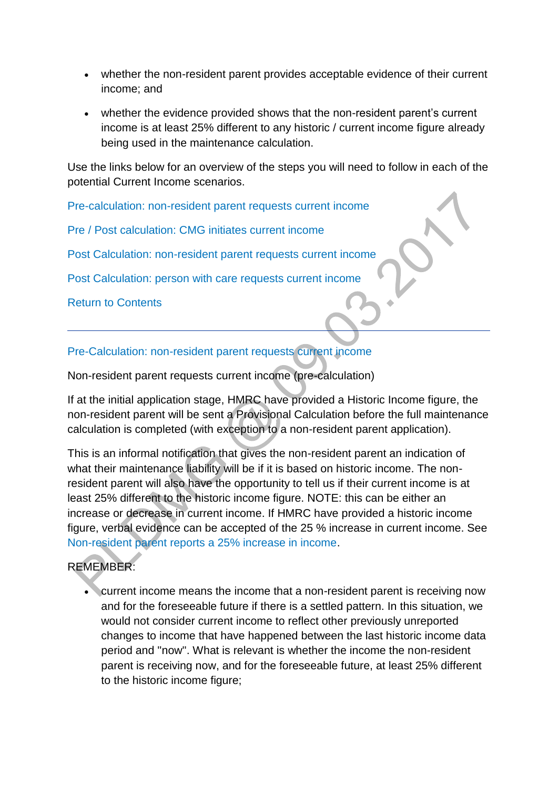- whether the non-resident parent provides acceptable evidence of their current income; and
- whether the evidence provided shows that the non-resident parent's current income is at least 25% different to any historic / current income figure already being used in the maintenance calculation.

Use the links below for an overview of the steps you will need to follow in each of the potential Current Income scenarios.

[Pre-calculation: non-resident parent requests current income](http://np-cmg-sharepoint.link2.gpn.gov.uk/sites/policy-law-and-decision-making-guidance/Pages/Calculations/General/Current-income-employed.aspx#5)

[Pre / Post calculation: CMG initiates current income](http://np-cmg-sharepoint.link2.gpn.gov.uk/sites/policy-law-and-decision-making-guidance/Pages/Calculations/General/Current-income-employed.aspx#6)

[Post Calculation: non-resident parent requests current income](http://np-cmg-sharepoint.link2.gpn.gov.uk/sites/policy-law-and-decision-making-guidance/Pages/Calculations/General/Current-income-employed.aspx#7)

[Post Calculation: person with care requests current income](http://np-cmg-sharepoint.link2.gpn.gov.uk/sites/policy-law-and-decision-making-guidance/Pages/Calculations/General/Current-income-employed.aspx#8) 

[Return to Contents](http://np-cmg-sharepoint.link2.gpn.gov.uk/sites/policy-law-and-decision-making-guidance/Pages/Calculations/General/Current-income-employed.aspx#con)

### [Pre-Calculation: non-resident parent requests current income](http://np-cmg-sharepoint.link2.gpn.gov.uk/sites/policy-law-and-decision-making-guidance/Pages/Calculations/General/Current-income-employed.aspx?ControlMode=Edit&DisplayMode=Design)

Non-resident parent requests current income (pre-calculation)

If at the initial application stage, HMRC have provided a Historic Income figure, the non-resident parent will be sent a Provisional Calculation before the full maintenance calculation is completed (with exception to a non-resident parent application).

This is an informal notification that gives the non-resident parent an indication of what their maintenance liability will be if it is based on historic income. The nonresident parent will also have the opportunity to tell us if their current income is at least 25% different to the historic income figure. NOTE: this can be either an increase or decrease in current income. If HMRC have provided a historic income figure, verbal evidence can be accepted of the 25 % increase in current income. See [Non-resident parent reports a 25% increase in income.](http://np-cmg-sharepoint.link2.gpn.gov.uk/sites/policy-law-and-decision-making-guidance/Pages/Calculations/General/Current-income-employed.aspx#25%)

# REMEMBER:

 current income means the income that a non-resident parent is receiving now and for the foreseeable future if there is a settled pattern. In this situation, we would not consider current income to reflect other previously unreported changes to income that have happened between the last historic income data period and ''now''. What is relevant is whether the income the non-resident parent is receiving now, and for the foreseeable future, at least 25% different to the historic income figure;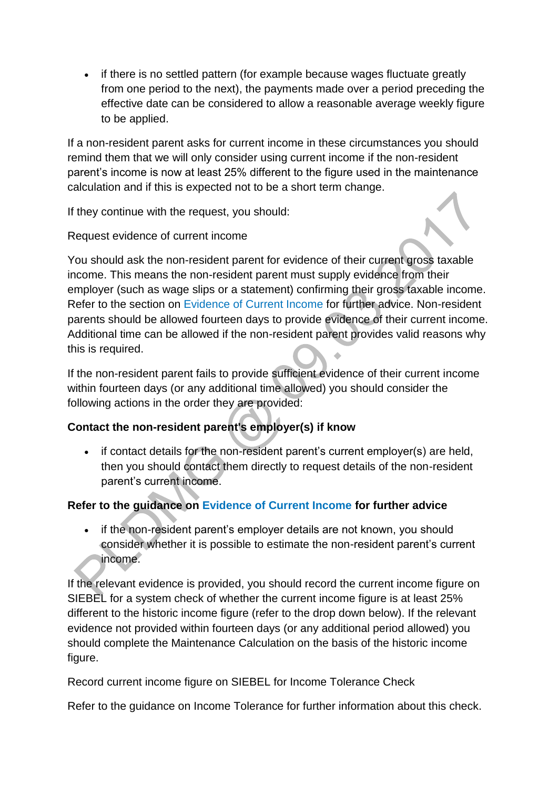• if there is no settled pattern (for example because wages fluctuate greatly from one period to the next), the payments made over a period preceding the effective date can be considered to allow a reasonable average weekly figure to be applied.

If a non-resident parent asks for current income in these circumstances you should remind them that we will only consider using current income if the non-resident parent's income is now at least 25% different to the figure used in the maintenance calculation and if this is expected not to be a short term change.

If they continue with the request, you should:

Request evidence of current income

You should ask the non-resident parent for evidence of their current gross taxable income. This means the non-resident parent must supply evidence from their employer (such as wage slips or a statement) confirming their gross taxable income. Refer to the section on [Evidence of Current Income f](http://np-cmg-sharepoint.link2.gpn.gov.uk/sites/policy-law-and-decision-making-guidance/Pages/Calculations/General/Current-income-employed.aspx#Evidence)or further advice. Non-resident parents should be allowed fourteen days to provide evidence of their current income. Additional time can be allowed if the non-resident parent provides valid reasons why this is required.

If the non-resident parent fails to provide sufficient evidence of their current income within fourteen days (or any additional time allowed) you should consider the following actions in the order they are provided:

# **Contact the non-resident parent's employer(s) if know**

• if contact details for the non-resident parent's current employer(s) are held, then you should contact them directly to request details of the non-resident parent's current income.

# **Refer to the guidance on [Evidence of Current Income f](http://np-cmg-sharepoint.link2.gpn.gov.uk/sites/policy-law-and-decision-making-guidance/Pages/Calculations/General/Current-income-employed.aspx#Evidence)or further advice**

• if the non-resident parent's employer details are not known, you should consider whether it is possible to estimate the non-resident parent's current income.

If the relevant evidence is provided, you should record the current income figure on SIEBEL for a system check of whether the current income figure is at least 25% different to the historic income figure (refer to the drop down below). If the relevant evidence not provided within fourteen days (or any additional period allowed) you should complete the Maintenance Calculation on the basis of the historic income figure.

Record current income figure on SIEBEL for Income Tolerance Check

Refer to the guidance on Income Tolerance for further information about this check.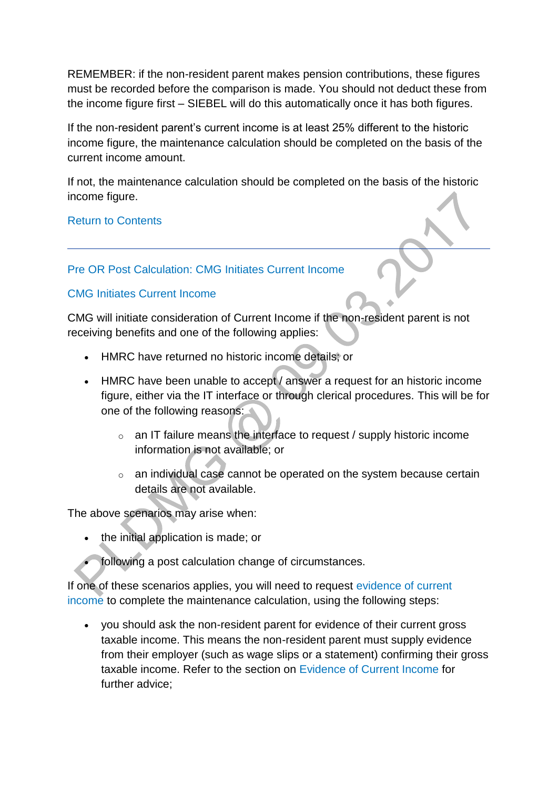REMEMBER: if the non-resident parent makes pension contributions, these figures must be recorded before the comparison is made. You should not deduct these from the income figure first – SIEBEL will do this automatically once it has both figures.

If the non-resident parent's current income is at least 25% different to the historic income figure, the maintenance calculation should be completed on the basis of the current income amount.

If not, the maintenance calculation should be completed on the basis of the historic income figure.

[Return to Contents](http://np-cmg-sharepoint.link2.gpn.gov.uk/sites/policy-law-and-decision-making-guidance/Pages/Calculations/General/Current-income-employed.aspx#con)

# [Pre OR Post Calculation: CMG Initiates Current Income](http://np-cmg-sharepoint.link2.gpn.gov.uk/sites/policy-law-and-decision-making-guidance/Pages/Calculations/General/Current-income-employed.aspx?ControlMode=Edit&DisplayMode=Design)

### [CMG Initiates Current Income](http://np-cmg-sharepoint.link2.gpn.gov.uk/sites/policy-law-and-decision-making-guidance/Pages/Calculations/General/)

CMG will initiate consideration of Current Income if the non-resident parent is not receiving benefits and one of the following applies:

- HMRC have returned no historic income details; or
- HMRC have been unable to accept / answer a request for an historic income figure, either via the IT interface or through clerical procedures. This will be for one of the following reasons:
	- o an IT failure means the interface to request / supply historic income information is not available; or
	- $\circ$  an individual case cannot be operated on the system because certain details are not available.

The above scenarios may arise when:

- the initial application is made; or
- following a post calculation change of circumstances.

If one of these scenarios applies, you will need to request [evidence of current](http://np-cmg-sharepoint.link2.gpn.gov.uk/sites/policy-law-and-decision-making-guidance/Pages/Calculations/General/Current-income-employed.aspx#Evidence)  [income t](http://np-cmg-sharepoint.link2.gpn.gov.uk/sites/policy-law-and-decision-making-guidance/Pages/Calculations/General/Current-income-employed.aspx#Evidence)o complete the maintenance calculation, using the following steps:

 you should ask the non-resident parent for evidence of their current gross taxable income. This means the non-resident parent must supply evidence from their employer (such as wage slips or a statement) confirming their gross taxable income. Refer to the section on [Evidence of Current Income f](http://np-cmg-sharepoint.link2.gpn.gov.uk/sites/policy-law-and-decision-making-guidance/Pages/Calculations/General/Current-income-employed.aspx#Evidence)or further advice;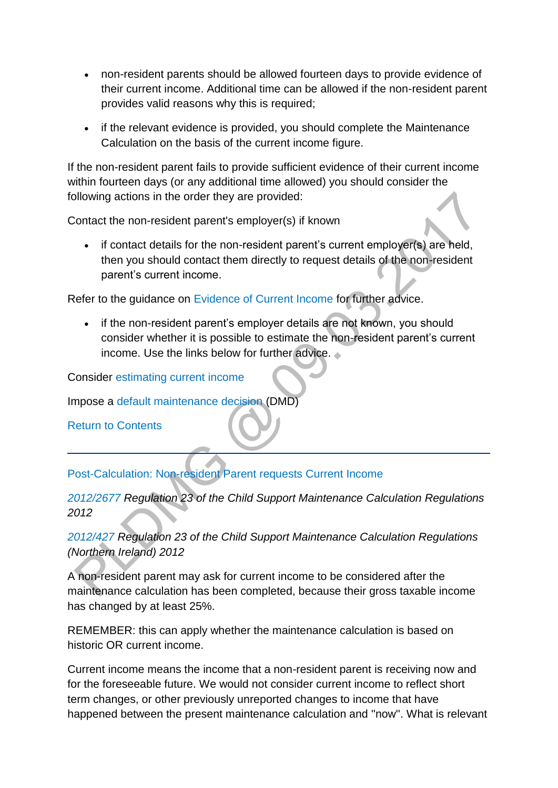- non-resident parents should be allowed fourteen days to provide evidence of their current income. Additional time can be allowed if the non-resident parent provides valid reasons why this is required;
- if the relevant evidence is provided, you should complete the Maintenance Calculation on the basis of the current income figure.

If the non-resident parent fails to provide sufficient evidence of their current income within fourteen days (or any additional time allowed) you should consider the following actions in the order they are provided:

Contact the non-resident parent's employer(s) if known

 if contact details for the non-resident parent's current employer(s) are held, then you should contact them directly to request details of the non-resident parent's current income.

Refer to the guidance on [Evidence of Current Income f](http://np-cmg-sharepoint.link2.gpn.gov.uk/sites/policy-law-and-decision-making-guidance/Pages/Calculations/General/Current-income-employed.aspx#Evidence)or further advice.

• if the non-resident parent's employer details are not known, you should consider whether it is possible to estimate the non-resident parent's current income. Use the links below for further advice.

Consider [estimating current income](http://np-cmg-sharepoint.link2.gpn.gov.uk/sites/policy-law-and-decision-making-guidance/Pages/Estimating-current-income.aspx)

Impose a [default maintenance decision \(](http://np-cmg-sharepoint.link2.gpn.gov.uk/sites/policy-law-and-decision-making-guidance/Pages/Default-maintenance-decisions.aspx)DMD)

[Return to Contents](http://np-cmg-sharepoint.link2.gpn.gov.uk/sites/policy-law-and-decision-making-guidance/Pages/Calculations/General/Current-income-employed.aspx#con)

[Post-Calculation: Non-resident Parent requests Current Income](http://np-cmg-sharepoint.link2.gpn.gov.uk/sites/policy-law-and-decision-making-guidance/Pages/Calculations/General/Current-income-employed.aspx?ControlMode=Edit&DisplayMode=Design)

# *[2012/2677](http://www.legislation.gov.uk/uksi/2012/2677) Regulation 23 of the Child Support Maintenance Calculation Regulations 2012*

*[2012/427 R](http://www.legislation.gov.uk/nisr/2012/427/contents/made)egulation 23 of the Child Support Maintenance Calculation Regulations (Northern Ireland) 2012* 

A non-resident parent may ask for current income to be considered after the maintenance calculation has been completed, because their gross taxable income has changed by at least 25%.

REMEMBER: this can apply whether the maintenance calculation is based on historic OR current income.

Current income means the income that a non-resident parent is receiving now and for the foreseeable future. We would not consider current income to reflect short term changes, or other previously unreported changes to income that have happened between the present maintenance calculation and ''now''. What is relevant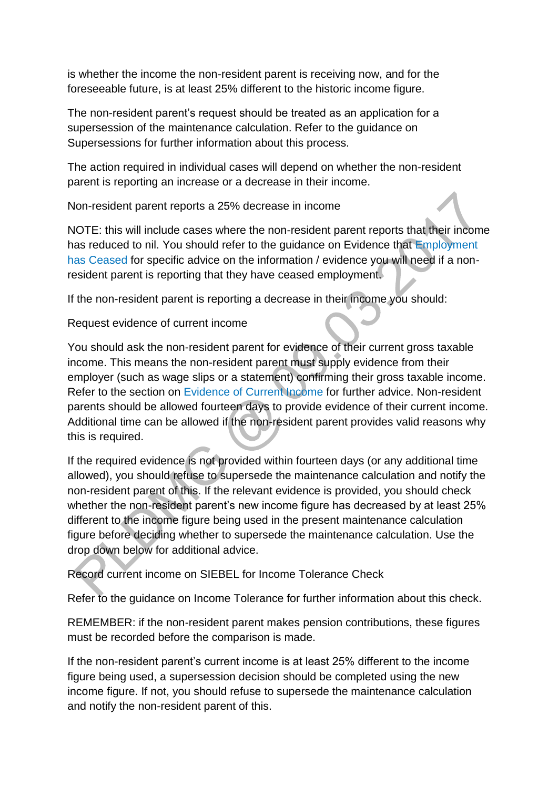is whether the income the non-resident parent is receiving now, and for the foreseeable future, is at least 25% different to the historic income figure.

The non-resident parent's request should be treated as an application for a supersession of the maintenance calculation. Refer to the guidance on Supersessions for further information about this process.

The action required in individual cases will depend on whether the non-resident parent is reporting an increase or a decrease in their income.

Non-resident parent reports a 25% decrease in income

NOTE: this will include cases where the non-resident parent reports that their income has reduced to nil. You should refer to the guidance on Evidence that [Employment](http://np-cmg-sharepoint.link2.gpn.gov.uk/sites/policy-law-and-decision-making-guidance/Pages/Calculations/General/Current-income-employed.aspx#ceased)  [has Ceased](http://np-cmg-sharepoint.link2.gpn.gov.uk/sites/policy-law-and-decision-making-guidance/Pages/Calculations/General/Current-income-employed.aspx#ceased) for specific advice on the information / evidence you will need if a nonresident parent is reporting that they have ceased employment.

If the non-resident parent is reporting a decrease in their income you should:

Request evidence of current income

You should ask the non-resident parent for evidence of their current gross taxable income. This means the non-resident parent must supply evidence from their employer (such as wage slips or a statement) confirming their gross taxable income. Refer to the section on [Evidence of Current Income f](http://np-cmg-sharepoint.link2.gpn.gov.uk/sites/policy-law-and-decision-making-guidance/Pages/Calculations/General/Current-income-employed.aspx#Evidence)or further advice. Non-resident parents should be allowed fourteen days to provide evidence of their current income. Additional time can be allowed if the non-resident parent provides valid reasons why this is required.

If the required evidence is not provided within fourteen days (or any additional time allowed), you should refuse to supersede the maintenance calculation and notify the non-resident parent of this. If the relevant evidence is provided, you should check whether the non-resident parent's new income figure has decreased by at least 25% different to the income figure being used in the present maintenance calculation figure before deciding whether to supersede the maintenance calculation. Use the drop down below for additional advice.

Record current income on SIEBEL for Income Tolerance Check

Refer to the guidance on Income Tolerance for further information about this check.

REMEMBER: if the non-resident parent makes pension contributions, these figures must be recorded before the comparison is made.

If the non-resident parent's current income is at least 25% different to the income figure being used, a supersession decision should be completed using the new income figure. If not, you should refuse to supersede the maintenance calculation and notify the non-resident parent of this.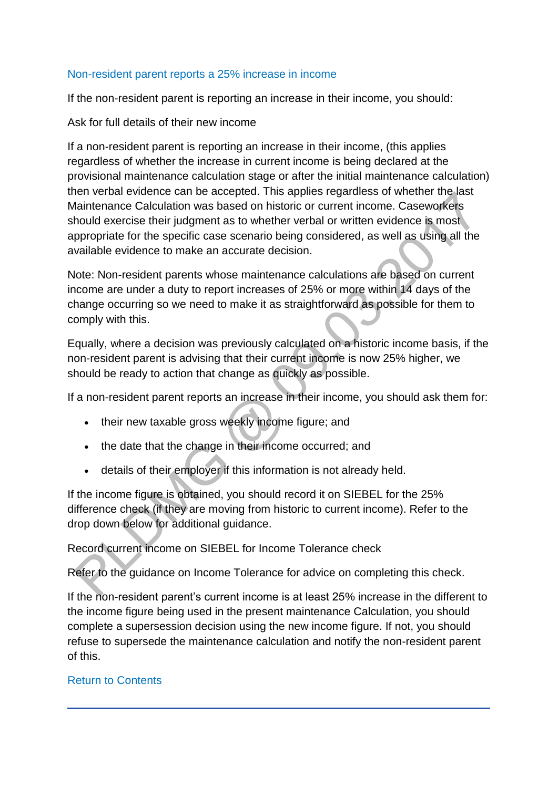#### [Non-resident parent reports a 25% increase in income](http://np-cmg-sharepoint.link2.gpn.gov.uk/sites/policy-law-and-decision-making-guidance/Pages/Calculations/General/)

If the non-resident parent is reporting an increase in their income, you should:

Ask for full details of their new income

If a non-resident parent is reporting an increase in their income, (this applies regardless of whether the increase in current income is being declared at the provisional maintenance calculation stage or after the initial maintenance calculation) then verbal evidence can be accepted. This applies regardless of whether the last Maintenance Calculation was based on historic or current income. Caseworkers should exercise their judgment as to whether verbal or written evidence is most appropriate for the specific case scenario being considered, as well as using all the available evidence to make an accurate decision.

Note: Non-resident parents whose maintenance calculations are based on current income are under a duty to report increases of 25% or more within 14 days of the change occurring so we need to make it as straightforward as possible for them to comply with this.

Equally, where a decision was previously calculated on a historic income basis, if the non-resident parent is advising that their current income is now 25% higher, we should be ready to action that change as quickly as possible.

If a non-resident parent reports an increase in their income, you should ask them for:

- their new taxable gross weekly income figure; and
- the date that the change in their income occurred; and
- details of their employer if this information is not already held.

If the income figure is obtained, you should record it on SIEBEL for the 25% difference check (if they are moving from historic to current income). Refer to the drop down below for additional guidance.

Record current income on SIEBEL for Income Tolerance check

Refer to the guidance on Income Tolerance for advice on completing this check.

If the non-resident parent's current income is at least 25% increase in the different to the income figure being used in the present maintenance Calculation, you should complete a supersession decision using the new income figure. If not, you should refuse to supersede the maintenance calculation and notify the non-resident parent of this.

# [Return to Contents](http://np-cmg-sharepoint.link2.gpn.gov.uk/sites/policy-law-and-decision-making-guidance/Pages/Calculations/General/Current-income-employed.aspx#con)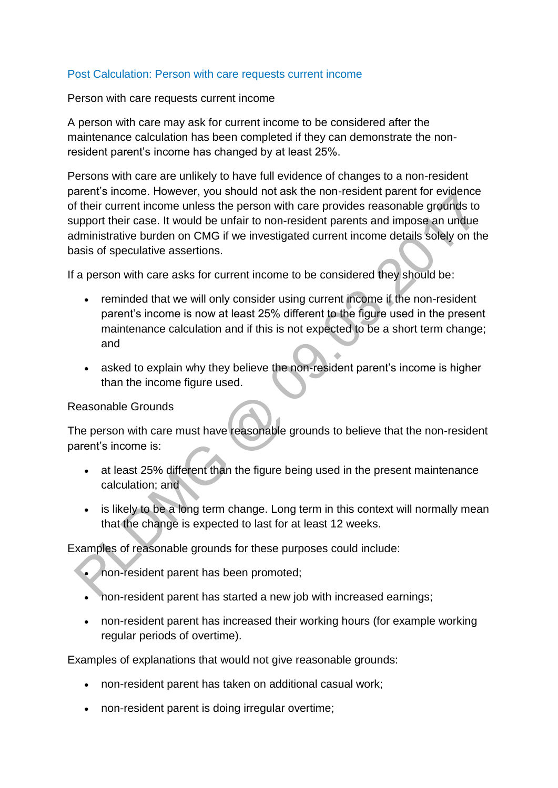#### [Post Calculation: Person with care requests current income](http://np-cmg-sharepoint.link2.gpn.gov.uk/sites/policy-law-and-decision-making-guidance/Pages/Calculations/General/Current-income-employed.aspx?ControlMode=Edit&DisplayMode=Design)

Person with care requests current income

A person with care may ask for current income to be considered after the maintenance calculation has been completed if they can demonstrate the nonresident parent's income has changed by at least 25%.

Persons with care are unlikely to have full evidence of changes to a non-resident parent's income. However, you should not ask the non-resident parent for evidence of their current income unless the person with care provides reasonable grounds to support their case. It would be unfair to non-resident parents and impose an undue administrative burden on CMG if we investigated current income details solely on the basis of speculative assertions.

If a person with care asks for current income to be considered they should be:

- reminded that we will only consider using current income if the non-resident parent's income is now at least 25% different to the figure used in the present maintenance calculation and if this is not expected to be a short term change; and
- asked to explain why they believe the non-resident parent's income is higher than the income figure used.

#### Reasonable Grounds

The person with care must have reasonable grounds to believe that the non-resident parent's income is:

- at least 25% different than the figure being used in the present maintenance calculation; and
- is likely to be a long term change. Long term in this context will normally mean that the change is expected to last for at least 12 weeks.

Examples of reasonable grounds for these purposes could include:

- non-resident parent has been promoted;
- non-resident parent has started a new job with increased earnings;
- non-resident parent has increased their working hours (for example working regular periods of overtime).

Examples of explanations that would not give reasonable grounds:

- non-resident parent has taken on additional casual work;
- non-resident parent is doing irregular overtime;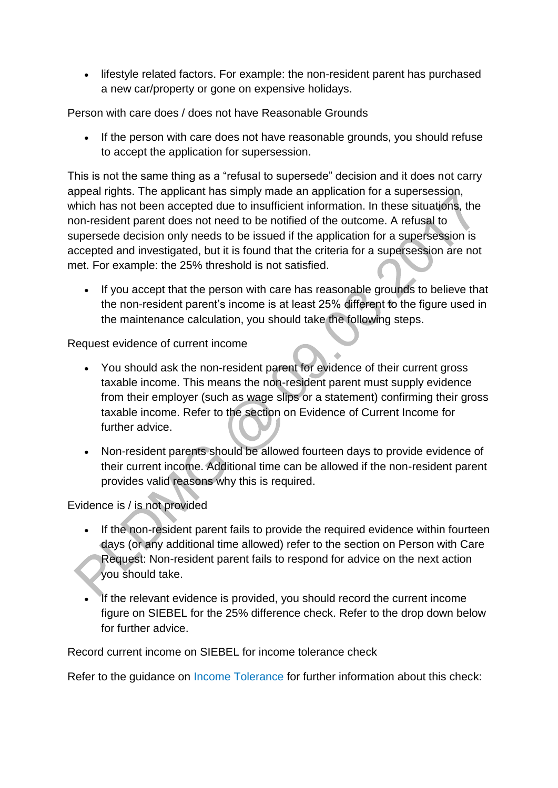• lifestyle related factors. For example: the non-resident parent has purchased a new car/property or gone on expensive holidays.

Person with care does / does not have Reasonable Grounds

• If the person with care does not have reasonable grounds, you should refuse to accept the application for supersession.

This is not the same thing as a "refusal to supersede" decision and it does not carry appeal rights. The applicant has simply made an application for a supersession, which has not been accepted due to insufficient information. In these situations, the non-resident parent does not need to be notified of the outcome. A refusal to supersede decision only needs to be issued if the application for a supersession is accepted and investigated, but it is found that the criteria for a supersession are not met. For example: the 25% threshold is not satisfied.

• If you accept that the person with care has reasonable grounds to believe that the non-resident parent's income is at least 25% different to the figure used in the maintenance calculation, you should take the following steps.

Request evidence of current income

- You should ask the non-resident parent for evidence of their current gross taxable income. This means the non-resident parent must supply evidence from their employer (such as wage slips or a statement) confirming their gross taxable income. Refer to the section on Evidence of Current Income for further advice
- Non-resident parents should be allowed fourteen days to provide evidence of their current income. Additional time can be allowed if the non-resident parent provides valid reasons why this is required.

# Evidence is / is not provided

- If the non-resident parent fails to provide the required evidence within fourteen days (or any additional time allowed) refer to the section on Person with Care Request: Non-resident parent fails to respond for advice on the next action you should take.
- If the relevant evidence is provided, you should record the current income figure on SIEBEL for the 25% difference check. Refer to the drop down below for further advice.

Record current income on SIEBEL for income tolerance check

Refer to the guidance on [Income Tolerance f](http://np-cmg-sharepoint.link2.gpn.gov.uk/sites/policy-law-and-decision-making-guidance/Pages/Calculations/General/Current-income-employed.aspx#intol)or further information about this check: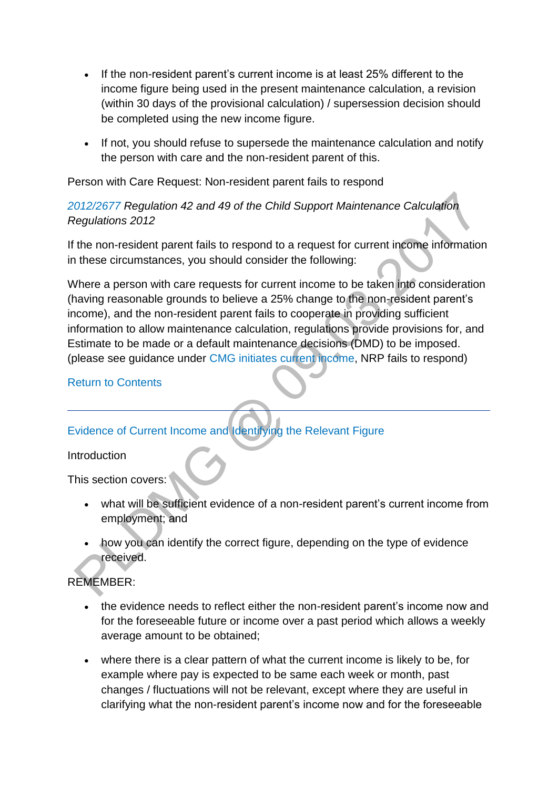- If the non-resident parent's current income is at least 25% different to the income figure being used in the present maintenance calculation, a revision (within 30 days of the provisional calculation) / supersession decision should be completed using the new income figure.
- If not, you should refuse to supersede the maintenance calculation and notify the person with care and the non-resident parent of this.

Person with Care Request: Non-resident parent fails to respond

# *[2012/2677](http://www.legislation.gov.uk/uksi/2012/2677) Regulation 42 and 49 of the Child Support Maintenance Calculation Regulations 2012*

If the non-resident parent fails to respond to a request for current income information in these circumstances, you should consider the following:

Where a person with care requests for current income to be taken into consideration (having reasonable grounds to believe a 25% change to the non-resident parent's income), and the non-resident parent fails to cooperate in providing sufficient information to allow maintenance calculation, regulations provide provisions for, and Estimate to be made or a default maintenance decisions (DMD) to be imposed. (please see guidance under [CMG initiates current income,](http://np-cmg-sharepoint.link2.gpn.gov.uk/sites/policy-law-and-decision-making-guidance/Pages/Calculations/General/Current-income-employed.aspx#Initiates) NRP fails to respond)

# [Return to Contents](http://np-cmg-sharepoint.link2.gpn.gov.uk/sites/policy-law-and-decision-making-guidance/Pages/Calculations/General/Current-income-employed.aspx#con)

# [Evidence of Current Income and Identifying the Relevant Figure](http://np-cmg-sharepoint.link2.gpn.gov.uk/sites/policy-law-and-decision-making-guidance/Pages/Calculations/General/)

### **Introduction**

This section covers:

- what will be sufficient evidence of a non-resident parent's current income from employment; and
- how you can identify the correct figure, depending on the type of evidence received.

# REMEMBER:

- the evidence needs to reflect either the non-resident parent's income now and for the foreseeable future or income over a past period which allows a weekly average amount to be obtained;
- where there is a clear pattern of what the current income is likely to be, for example where pay is expected to be same each week or month, past changes / fluctuations will not be relevant, except where they are useful in clarifying what the non-resident parent's income now and for the foreseeable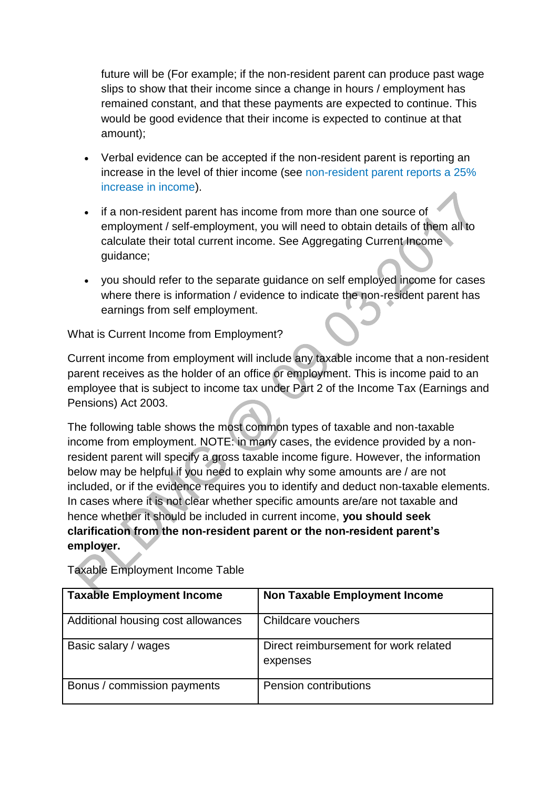future will be (For example; if the non-resident parent can produce past wage slips to show that their income since a change in hours / employment has remained constant, and that these payments are expected to continue. This would be good evidence that their income is expected to continue at that amount);

- Verbal evidence can be accepted if the non-resident parent is reporting an increase in the level of thier income (see [non-resident parent reports a 25%](http://np-cmg-sharepoint.link2.gpn.gov.uk/sites/policy-law-and-decision-making-guidance/Pages/Calculations/General/Current-income-employed.aspx#25%)  [increase in income\)](http://np-cmg-sharepoint.link2.gpn.gov.uk/sites/policy-law-and-decision-making-guidance/Pages/Calculations/General/Current-income-employed.aspx#25%).
- if a non-resident parent has income from more than one source of employment / self-employment, you will need to obtain details of them all to calculate their total current income. See Aggregating Current Income guidance;
- you should refer to the separate guidance on self employed income for cases where there is information / evidence to indicate the non-resident parent has earnings from self employment.

What is Current Income from Employment?

Current income from employment will include any taxable income that a non-resident parent receives as the holder of an office or employment. This is income paid to an employee that is subject to income tax under Part 2 of the Income Tax (Earnings and Pensions) Act 2003.

The following table shows the most common types of taxable and non-taxable income from employment. NOTE: in many cases, the evidence provided by a nonresident parent will specify a gross taxable income figure. However, the information below may be helpful if you need to explain why some amounts are / are not included, or if the evidence requires you to identify and deduct non-taxable elements. In cases where it is not clear whether specific amounts are/are not taxable and hence whether it should be included in current income, **you should seek clarification from the non-resident parent or the non-resident parent's employer.**

| <b>Taxable Employment Income</b>   | <b>Non Taxable Employment Income</b>              |
|------------------------------------|---------------------------------------------------|
| Additional housing cost allowances | Childcare vouchers                                |
| Basic salary / wages               | Direct reimbursement for work related<br>expenses |
| Bonus / commission payments        | Pension contributions                             |

Taxable Employment Income Table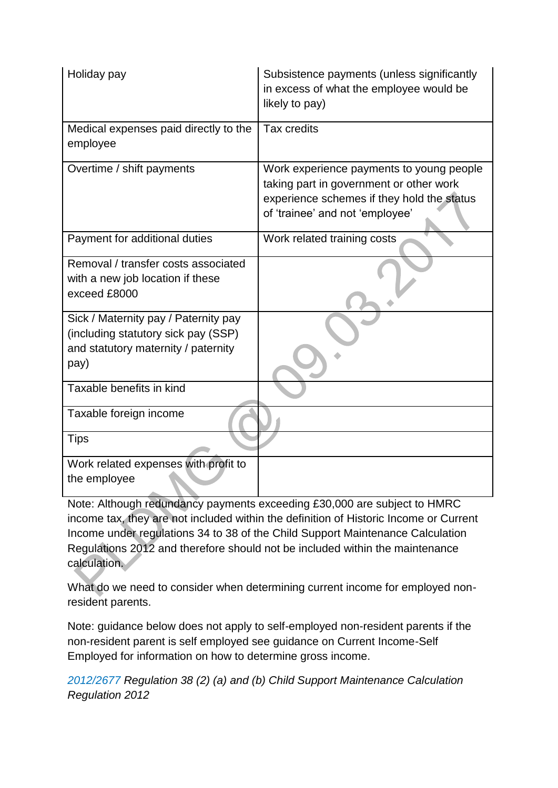| Holiday pay                                                                                                                | Subsistence payments (unless significantly<br>in excess of what the employee would be<br>likely to pay)                                                              |
|----------------------------------------------------------------------------------------------------------------------------|----------------------------------------------------------------------------------------------------------------------------------------------------------------------|
| Medical expenses paid directly to the<br>employee                                                                          | Tax credits                                                                                                                                                          |
| Overtime / shift payments                                                                                                  | Work experience payments to young people<br>taking part in government or other work<br>experience schemes if they hold the status<br>of 'trainee' and not 'employee' |
| Payment for additional duties                                                                                              | Work related training costs                                                                                                                                          |
| Removal / transfer costs associated<br>with a new job location if these<br>exceed £8000                                    |                                                                                                                                                                      |
| Sick / Maternity pay / Paternity pay<br>(including statutory sick pay (SSP)<br>and statutory maternity / paternity<br>pay) |                                                                                                                                                                      |
| Taxable benefits in kind                                                                                                   |                                                                                                                                                                      |
| Taxable foreign income                                                                                                     |                                                                                                                                                                      |
| <b>Tips</b>                                                                                                                |                                                                                                                                                                      |
| Work related expenses with profit to<br>the employee                                                                       |                                                                                                                                                                      |

Note: Although redundancy payments exceeding £30,000 are subject to HMRC income tax, they are not included within the definition of Historic Income or Current Income under regulations 34 to 38 of the Child Support Maintenance Calculation Regulations 2012 and therefore should not be included within the maintenance calculation.

What do we need to consider when determining current income for employed nonresident parents.

Note: guidance below does not apply to self-employed non-resident parents if the non-resident parent is self employed see guidance on Current Income-Self Employed for information on how to determine gross income.

*[2012/2677](http://www.legislation.gov.uk/uksi/2012/2677) Regulation 38 (2) (a) and (b) Child Support Maintenance Calculation Regulation 2012*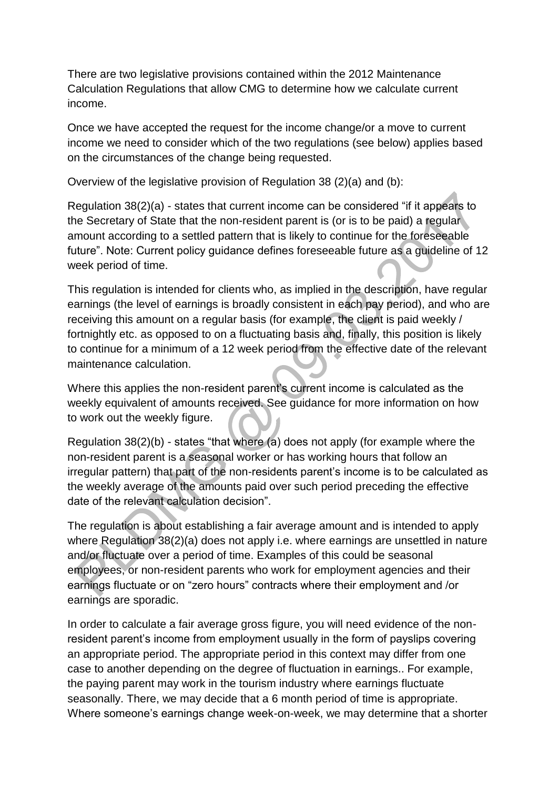There are two legislative provisions contained within the 2012 Maintenance Calculation Regulations that allow CMG to determine how we calculate current income.

Once we have accepted the request for the income change/or a move to current income we need to consider which of the two regulations (see below) applies based on the circumstances of the change being requested.

Overview of the legislative provision of Regulation 38 (2)(a) and (b):

Regulation 38(2)(a) - states that current income can be considered "if it appears to the Secretary of State that the non-resident parent is (or is to be paid) a regular amount according to a settled pattern that is likely to continue for the foreseeable future". Note: Current policy guidance defines foreseeable future as a guideline of 12 week period of time.

This regulation is intended for clients who, as implied in the description, have regular earnings (the level of earnings is broadly consistent in each pay period), and who are receiving this amount on a regular basis (for example, the client is paid weekly / fortnightly etc. as opposed to on a fluctuating basis and, finally, this position is likely to continue for a minimum of a 12 week period from the effective date of the relevant maintenance calculation.

Where this applies the non-resident parent's current income is calculated as the weekly equivalent of amounts received. See guidance for more information on how to work out the weekly figure.

Regulation 38(2)(b) - states "that where (a) does not apply (for example where the non-resident parent is a seasonal worker or has working hours that follow an irregular pattern) that part of the non-residents parent's income is to be calculated as the weekly average of the amounts paid over such period preceding the effective date of the relevant calculation decision".

The regulation is about establishing a fair average amount and is intended to apply where Regulation 38(2)(a) does not apply i.e. where earnings are unsettled in nature and/or fluctuate over a period of time. Examples of this could be seasonal employees, or non-resident parents who work for employment agencies and their earnings fluctuate or on "zero hours" contracts where their employment and /or earnings are sporadic.

In order to calculate a fair average gross figure, you will need evidence of the nonresident parent's income from employment usually in the form of payslips covering an appropriate period. The appropriate period in this context may differ from one case to another depending on the degree of fluctuation in earnings.. For example, the paying parent may work in the tourism industry where earnings fluctuate seasonally. There, we may decide that a 6 month period of time is appropriate. Where someone's earnings change week-on-week, we may determine that a shorter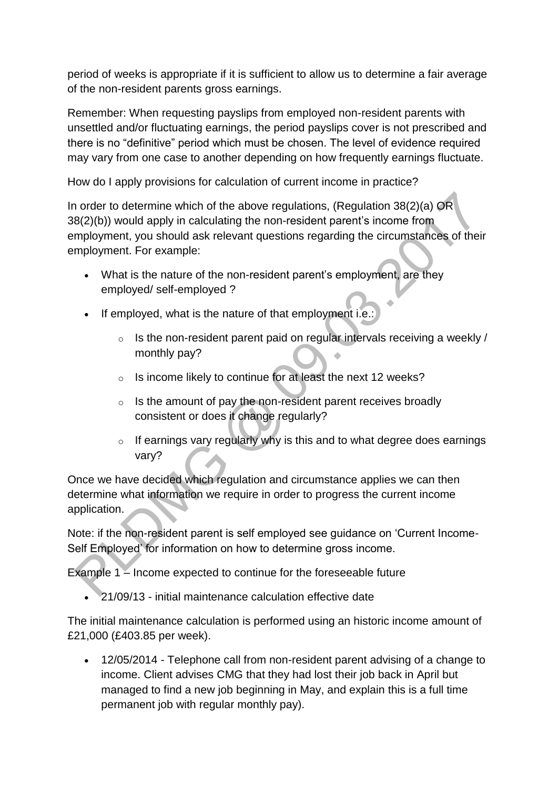period of weeks is appropriate if it is sufficient to allow us to determine a fair average of the non-resident parents gross earnings.

Remember: When requesting payslips from employed non-resident parents with unsettled and/or fluctuating earnings, the period payslips cover is not prescribed and there is no "definitive" period which must be chosen. The level of evidence required may vary from one case to another depending on how frequently earnings fluctuate.

How do I apply provisions for calculation of current income in practice?

In order to determine which of the above regulations, (Regulation 38(2)(a) OR 38(2)(b)) would apply in calculating the non-resident parent's income from employment, you should ask relevant questions regarding the circumstances of their employment. For example:

- What is the nature of the non-resident parent's employment, are they employed/ self-employed ?
- If employed, what is the nature of that employment i.e.:
	- $\circ$  Is the non-resident parent paid on regular intervals receiving a weekly / monthly pay?
	- o Is income likely to continue for at least the next 12 weeks?
	- $\circ$  Is the amount of pay the non-resident parent receives broadly consistent or does it change regularly?
	- $\circ$  If earnings vary regularly why is this and to what degree does earnings vary?

Once we have decided which regulation and circumstance applies we can then determine what information we require in order to progress the current income application.

Note: if the non-resident parent is self employed see guidance on 'Current Income-Self Employed' for information on how to determine gross income.

Example 1 – Income expected to continue for the foreseeable future

21/09/13 - initial maintenance calculation effective date

The initial maintenance calculation is performed using an historic income amount of £21,000 (£403.85 per week).

 12/05/2014 - Telephone call from non-resident parent advising of a change to income. Client advises CMG that they had lost their job back in April but managed to find a new job beginning in May, and explain this is a full time permanent job with regular monthly pay).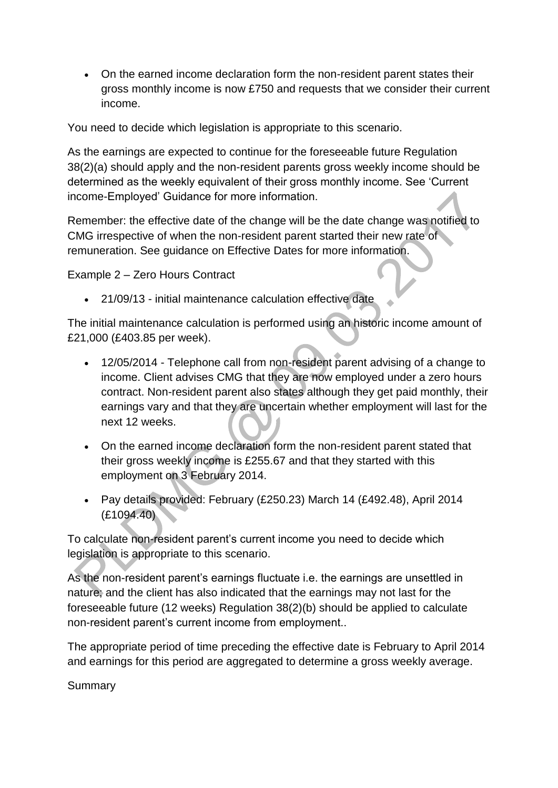On the earned income declaration form the non-resident parent states their gross monthly income is now £750 and requests that we consider their current income.

You need to decide which legislation is appropriate to this scenario.

As the earnings are expected to continue for the foreseeable future Regulation 38(2)(a) should apply and the non-resident parents gross weekly income should be determined as the weekly equivalent of their gross monthly income. See 'Current income-Employed' Guidance for more information.

Remember: the effective date of the change will be the date change was notified to CMG irrespective of when the non-resident parent started their new rate of remuneration. See guidance on Effective Dates for more information.

Example 2 – Zero Hours Contract

21/09/13 - initial maintenance calculation effective date

The initial maintenance calculation is performed using an historic income amount of £21,000 (£403.85 per week).

- 12/05/2014 Telephone call from non-resident parent advising of a change to income. Client advises CMG that they are now employed under a zero hours contract. Non-resident parent also states although they get paid monthly, their earnings vary and that they are uncertain whether employment will last for the next 12 weeks.
- On the earned income declaration form the non-resident parent stated that their gross weekly income is £255.67 and that they started with this employment on 3 February 2014.
- Pay details provided: February (£250.23) March 14 (£492.48), April 2014 (£1094.40)

To calculate non-resident parent's current income you need to decide which legislation is appropriate to this scenario.

As the non-resident parent's earnings fluctuate i.e. the earnings are unsettled in nature; and the client has also indicated that the earnings may not last for the foreseeable future (12 weeks) Regulation 38(2)(b) should be applied to calculate non-resident parent's current income from employment..

The appropriate period of time preceding the effective date is February to April 2014 and earnings for this period are aggregated to determine a gross weekly average.

Summary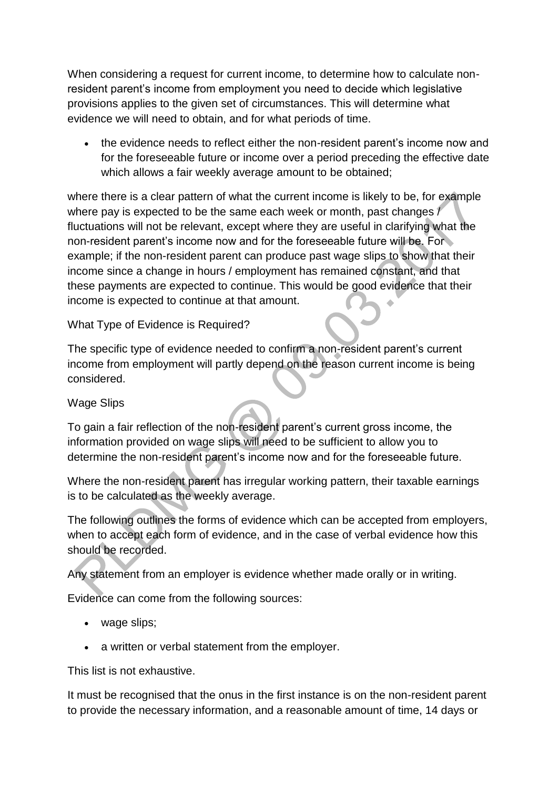When considering a request for current income, to determine how to calculate nonresident parent's income from employment you need to decide which legislative provisions applies to the given set of circumstances. This will determine what evidence we will need to obtain, and for what periods of time.

 the evidence needs to reflect either the non-resident parent's income now and for the foreseeable future or income over a period preceding the effective date which allows a fair weekly average amount to be obtained:

where there is a clear pattern of what the current income is likely to be, for example where pay is expected to be the same each week or month, past changes / fluctuations will not be relevant, except where they are useful in clarifying what the non-resident parent's income now and for the foreseeable future will be. For example; if the non-resident parent can produce past wage slips to show that their income since a change in hours / employment has remained constant, and that these payments are expected to continue. This would be good evidence that their income is expected to continue at that amount.

# What Type of Evidence is Required?

The specific type of evidence needed to confirm a non-resident parent's current income from employment will partly depend on the reason current income is being considered.

### Wage Slips

To gain a fair reflection of the non-resident parent's current gross income, the information provided on wage slips will need to be sufficient to allow you to determine the non-resident parent's income now and for the foreseeable future.

Where the non-resident parent has irregular working pattern, their taxable earnings is to be calculated as the weekly average.

The following outlines the forms of evidence which can be accepted from employers, when to accept each form of evidence, and in the case of verbal evidence how this should be recorded.

Any statement from an employer is evidence whether made orally or in writing.

Evidence can come from the following sources:

- wage slips:
- a written or verbal statement from the employer.

This list is not exhaustive.

It must be recognised that the onus in the first instance is on the non-resident parent to provide the necessary information, and a reasonable amount of time, 14 days or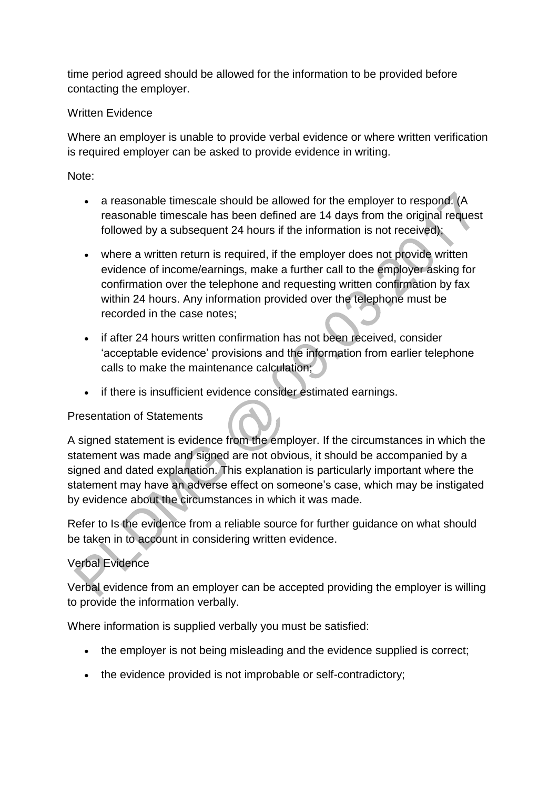time period agreed should be allowed for the information to be provided before contacting the employer.

# Written Evidence

Where an employer is unable to provide verbal evidence or where written verification is required employer can be asked to provide evidence in writing.

# Note:

- a reasonable timescale should be allowed for the employer to respond. (A reasonable timescale has been defined are 14 days from the original request followed by a subsequent 24 hours if the information is not received);
- where a written return is required, if the employer does not provide written evidence of income/earnings, make a further call to the employer asking for confirmation over the telephone and requesting written confirmation by fax within 24 hours. Any information provided over the telephone must be recorded in the case notes;
- if after 24 hours written confirmation has not been received, consider 'acceptable evidence' provisions and the information from earlier telephone calls to make the maintenance calculation;
- if there is insufficient evidence consider estimated earnings.

### Presentation of Statements

A signed statement is evidence from the employer. If the circumstances in which the statement was made and signed are not obvious, it should be accompanied by a signed and dated explanation. This explanation is particularly important where the statement may have an adverse effect on someone's case, which may be instigated by evidence about the circumstances in which it was made.

Refer to Is the evidence from a reliable source for further guidance on what should be taken in to account in considering written evidence.

# Verbal Evidence

Verbal evidence from an employer can be accepted providing the employer is willing to provide the information verbally.

Where information is supplied verbally you must be satisfied:

- the employer is not being misleading and the evidence supplied is correct;
- the evidence provided is not improbable or self-contradictory;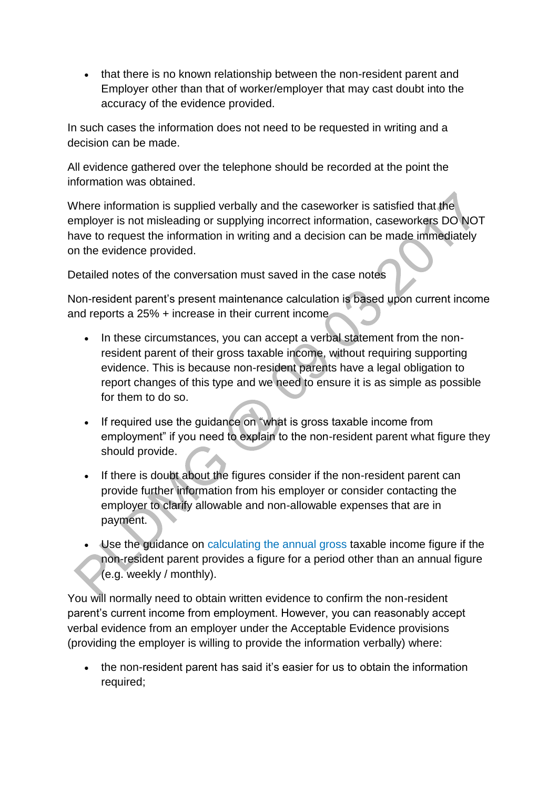• that there is no known relationship between the non-resident parent and Employer other than that of worker/employer that may cast doubt into the accuracy of the evidence provided.

In such cases the information does not need to be requested in writing and a decision can be made.

All evidence gathered over the telephone should be recorded at the point the information was obtained.

Where information is supplied verbally and the caseworker is satisfied that the employer is not misleading or supplying incorrect information, caseworkers DO NOT have to request the information in writing and a decision can be made immediately on the evidence provided.

Detailed notes of the conversation must saved in the case notes

Non-resident parent's present maintenance calculation is based upon current income and reports a 25% + increase in their current income

- In these circumstances, you can accept a verbal statement from the nonresident parent of their gross taxable income, without requiring supporting evidence. This is because non-resident parents have a legal obligation to report changes of this type and we need to ensure it is as simple as possible for them to do so.
- If required use the guidance on "what is gross taxable income from employment" if you need to explain to the non-resident parent what figure they should provide.
- If there is doubt about the figures consider if the non-resident parent can provide further information from his employer or consider contacting the employer to clarify allowable and non-allowable expenses that are in payment.
- Use the guidance on [calculating the annual gross t](http://np-cmg-sharepoint.link2.gpn.gov.uk/sites/policy-law-and-decision-making-guidance/Pages/Calculations/General/Current-income-employed.aspx#al)axable income figure if the non-resident parent provides a figure for a period other than an annual figure (e.g. weekly / monthly).

You will normally need to obtain written evidence to confirm the non-resident parent's current income from employment. However, you can reasonably accept verbal evidence from an employer under the Acceptable Evidence provisions (providing the employer is willing to provide the information verbally) where:

 the non-resident parent has said it's easier for us to obtain the information required;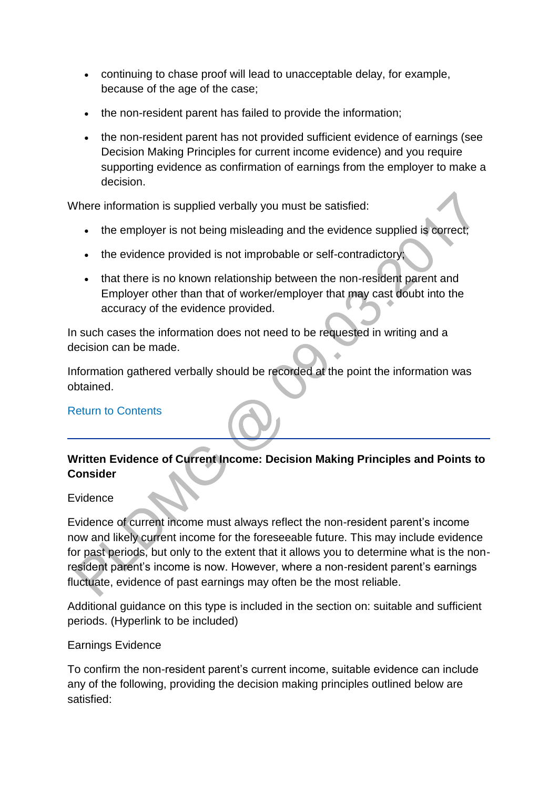- continuing to chase proof will lead to unacceptable delay, for example, because of the age of the case;
- the non-resident parent has failed to provide the information;
- the non-resident parent has not provided sufficient evidence of earnings (see Decision Making Principles for current income evidence) and you require supporting evidence as confirmation of earnings from the employer to make a decision.

Where information is supplied verbally you must be satisfied:

- the employer is not being misleading and the evidence supplied is correct;
- the evidence provided is not improbable or self-contradictory;
- that there is no known relationship between the non-resident parent and Employer other than that of worker/employer that may cast doubt into the accuracy of the evidence provided.

In such cases the information does not need to be requested in writing and a decision can be made.

Information gathered verbally should be recorded at the point the information was obtained.

### [Return to Contents](http://np-cmg-sharepoint.link2.gpn.gov.uk/sites/policy-law-and-decision-making-guidance/Pages/Calculations/General/Current-income-employed.aspx#con)

# **Written Evidence of Current Income: Decision Making Principles and Points to Consider**

#### **Evidence**

Evidence of current income must always reflect the non-resident parent's income now and likely current income for the foreseeable future. This may include evidence for past periods, but only to the extent that it allows you to determine what is the nonresident parent's income is now. However, where a non-resident parent's earnings fluctuate, evidence of past earnings may often be the most reliable.

Additional guidance on this type is included in the section on: suitable and sufficient periods. (Hyperlink to be included)

#### Earnings Evidence

To confirm the non-resident parent's current income, suitable evidence can include any of the following, providing the decision making principles outlined below are satisfied: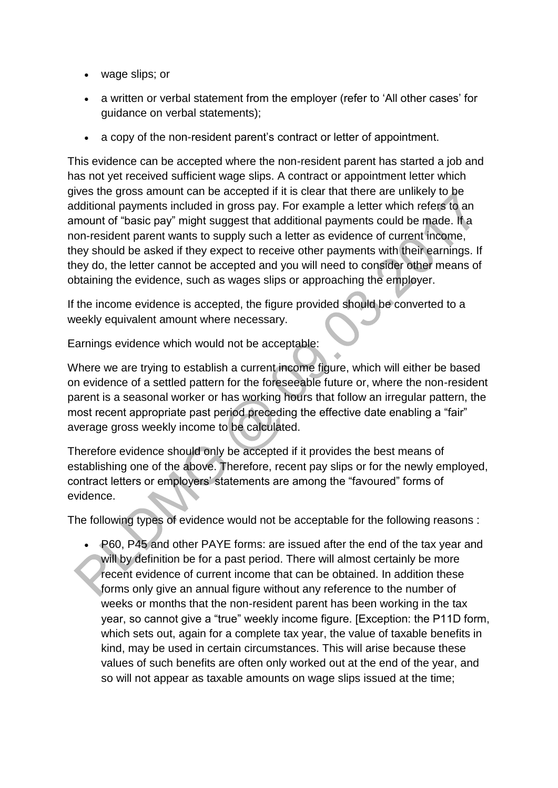- wage slips; or
- a written or verbal statement from the employer (refer to 'All other cases' for guidance on verbal statements);
- a copy of the non-resident parent's contract or letter of appointment.

This evidence can be accepted where the non-resident parent has started a job and has not yet received sufficient wage slips. A contract or appointment letter which gives the gross amount can be accepted if it is clear that there are unlikely to be additional payments included in gross pay. For example a letter which refers to an amount of "basic pay" might suggest that additional payments could be made. If a non-resident parent wants to supply such a letter as evidence of current income, they should be asked if they expect to receive other payments with their earnings. If they do, the letter cannot be accepted and you will need to consider other means of obtaining the evidence, such as wages slips or approaching the employer.

If the income evidence is accepted, the figure provided should be converted to a weekly equivalent amount where necessary.

Earnings evidence which would not be acceptable:

Where we are trying to establish a current income figure, which will either be based on evidence of a settled pattern for the foreseeable future or, where the non-resident parent is a seasonal worker or has working hours that follow an irregular pattern, the most recent appropriate past period preceding the effective date enabling a "fair" average gross weekly income to be calculated.

Therefore evidence should only be accepted if it provides the best means of establishing one of the above. Therefore, recent pay slips or for the newly employed, contract letters or employers' statements are among the "favoured" forms of evidence.

The following types of evidence would not be acceptable for the following reasons :

 P60, P45 and other PAYE forms: are issued after the end of the tax year and will by definition be for a past period. There will almost certainly be more recent evidence of current income that can be obtained. In addition these forms only give an annual figure without any reference to the number of weeks or months that the non-resident parent has been working in the tax year, so cannot give a "true" weekly income figure. [Exception: the P11D form, which sets out, again for a complete tax year, the value of taxable benefits in kind, may be used in certain circumstances. This will arise because these values of such benefits are often only worked out at the end of the year, and so will not appear as taxable amounts on wage slips issued at the time;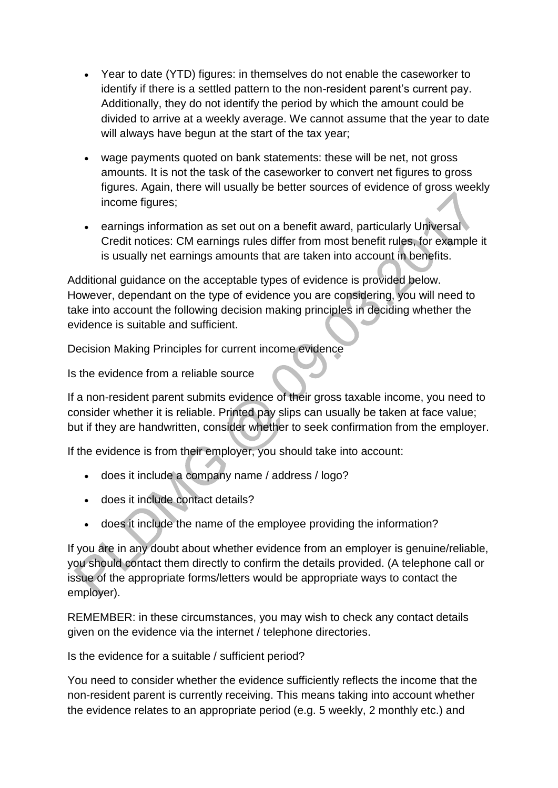- Year to date (YTD) figures: in themselves do not enable the caseworker to identify if there is a settled pattern to the non-resident parent's current pay. Additionally, they do not identify the period by which the amount could be divided to arrive at a weekly average. We cannot assume that the year to date will always have begun at the start of the tax year;
- wage payments quoted on bank statements: these will be net, not gross amounts. It is not the task of the caseworker to convert net figures to gross figures. Again, there will usually be better sources of evidence of gross weekly income figures;
- earnings information as set out on a benefit award, particularly Universal Credit notices: CM earnings rules differ from most benefit rules, for example it is usually net earnings amounts that are taken into account in benefits.

Additional guidance on the acceptable types of evidence is provided below. However, dependant on the type of evidence you are considering, you will need to take into account the following decision making principles in deciding whether the evidence is suitable and sufficient.

Decision Making Principles for current income evidence

Is the evidence from a reliable source

If a non-resident parent submits evidence of their gross taxable income, you need to consider whether it is reliable. Printed pay slips can usually be taken at face value; but if they are handwritten, consider whether to seek confirmation from the employer.

If the evidence is from their employer, you should take into account:

- does it include a company name / address / logo?
- does it include contact details?
- does it include the name of the employee providing the information?

If you are in any doubt about whether evidence from an employer is genuine/reliable, you should contact them directly to confirm the details provided. (A telephone call or issue of the appropriate forms/letters would be appropriate ways to contact the employer).

REMEMBER: in these circumstances, you may wish to check any contact details given on the evidence via the internet / telephone directories.

Is the evidence for a suitable / sufficient period?

You need to consider whether the evidence sufficiently reflects the income that the non-resident parent is currently receiving. This means taking into account whether the evidence relates to an appropriate period (e.g. 5 weekly, 2 monthly etc.) and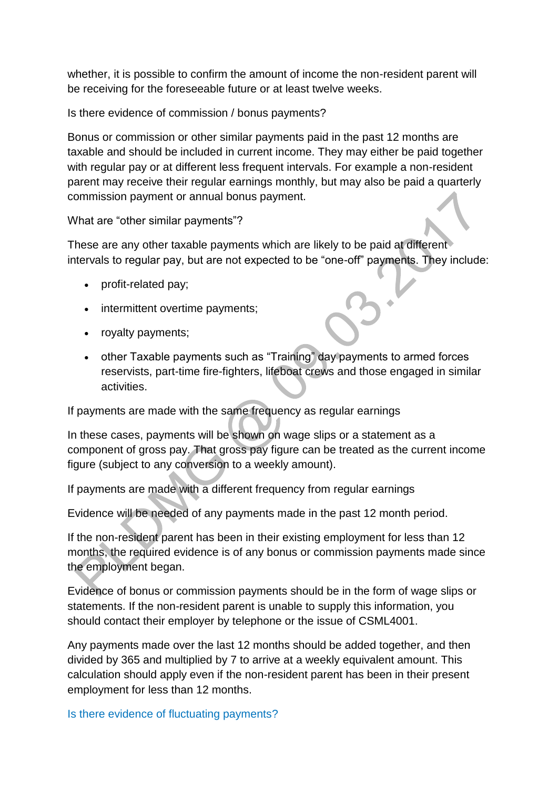whether, it is possible to confirm the amount of income the non-resident parent will be receiving for the foreseeable future or at least twelve weeks.

Is there evidence of commission / bonus payments?

Bonus or commission or other similar payments paid in the past 12 months are taxable and should be included in current income. They may either be paid together with regular pay or at different less frequent intervals. For example a non-resident parent may receive their regular earnings monthly, but may also be paid a quarterly commission payment or annual bonus payment.

What are "other similar payments"?

These are any other taxable payments which are likely to be paid at different intervals to regular pay, but are not expected to be "one-off" payments. They include:

- profit-related pay;
- intermittent overtime payments;
- royalty payments;
- other Taxable payments such as "Training" day payments to armed forces reservists, part-time fire-fighters, lifeboat crews and those engaged in similar activities.

If payments are made with the same frequency as regular earnings

In these cases, payments will be shown on wage slips or a statement as a component of gross pay. That gross pay figure can be treated as the current income figure (subject to any conversion to a weekly amount).

If payments are made with a different frequency from regular earnings

Evidence will be needed of any payments made in the past 12 month period.

If the non-resident parent has been in their existing employment for less than 12 months, the required evidence is of any bonus or commission payments made since the employment began.

Evidence of bonus or commission payments should be in the form of wage slips or statements. If the non-resident parent is unable to supply this information, you should contact their employer by telephone or the issue of CSML4001.

Any payments made over the last 12 months should be added together, and then divided by 365 and multiplied by 7 to arrive at a weekly equivalent amount. This calculation should apply even if the non-resident parent has been in their present employment for less than 12 months.

[Is there evidence of fluctuating payments?](http://np-cmg-sharepoint.link2.gpn.gov.uk/sites/policy-law-and-decision-making-guidance/Pages/Calculations/General/Current-income-employed.aspx?ControlMode=Edit&DisplayMode=Design)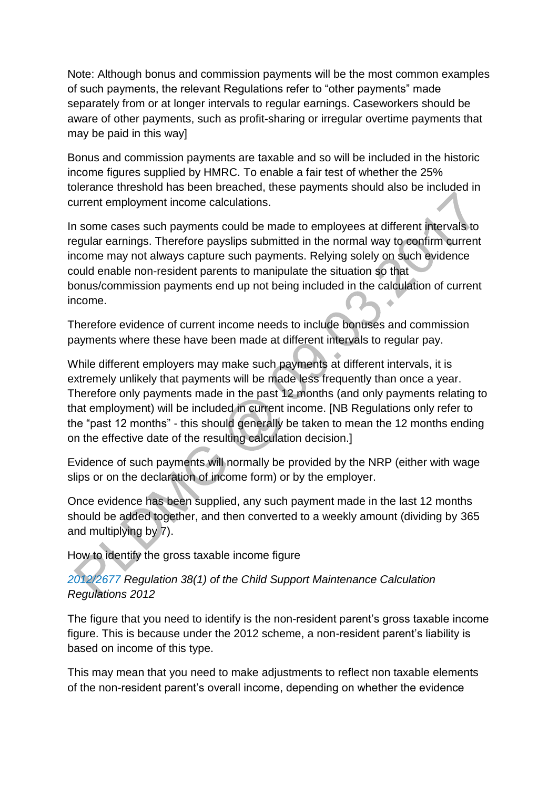Note: Although bonus and commission payments will be the most common examples of such payments, the relevant Regulations refer to "other payments" made separately from or at longer intervals to regular earnings. Caseworkers should be aware of other payments, such as profit-sharing or irregular overtime payments that may be paid in this way]

Bonus and commission payments are taxable and so will be included in the historic income figures supplied by HMRC. To enable a fair test of whether the 25% tolerance threshold has been breached, these payments should also be included in current employment income calculations.

In some cases such payments could be made to employees at different intervals to regular earnings. Therefore payslips submitted in the normal way to confirm current income may not always capture such payments. Relying solely on such evidence could enable non-resident parents to manipulate the situation so that bonus/commission payments end up not being included in the calculation of current income.

Therefore evidence of current income needs to include bonuses and commission payments where these have been made at different intervals to regular pay.

While different employers may make such payments at different intervals, it is extremely unlikely that payments will be made less frequently than once a year. Therefore only payments made in the past 12 months (and only payments relating to that employment) will be included in current income. [NB Regulations only refer to the "past 12 months" - this should generally be taken to mean the 12 months ending on the effective date of the resulting calculation decision.]

Evidence of such payments will normally be provided by the NRP (either with wage slips or on the declaration of income form) or by the employer.

Once evidence has been supplied, any such payment made in the last 12 months should be added together, and then converted to a weekly amount (dividing by 365 and multiplying by 7).

How to identify the gross taxable income figure

# *[2012/2677](http://www.legislation.gov.uk/uksi/2012/2677) Regulation 38(1) of the Child Support Maintenance Calculation Regulations 2012*

The figure that you need to identify is the non-resident parent's gross taxable income figure. This is because under the 2012 scheme, a non-resident parent's liability is based on income of this type.

This may mean that you need to make adjustments to reflect non taxable elements of the non-resident parent's overall income, depending on whether the evidence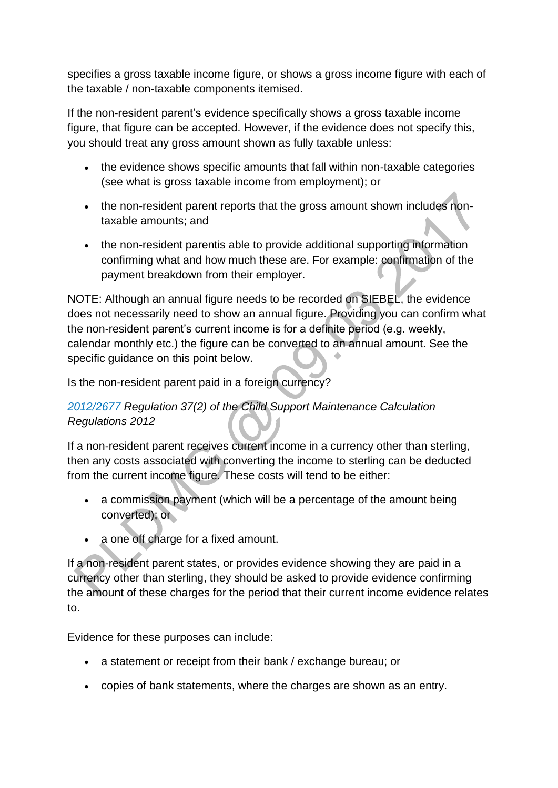specifies a gross taxable income figure, or shows a gross income figure with each of the taxable / non-taxable components itemised.

If the non-resident parent's evidence specifically shows a gross taxable income figure, that figure can be accepted. However, if the evidence does not specify this, you should treat any gross amount shown as fully taxable unless:

- the evidence shows specific amounts that fall within non-taxable categories (see what is gross taxable income from employment); or
- the non-resident parent reports that the gross amount shown includes nontaxable amounts; and
- the non-resident parentis able to provide additional supporting information confirming what and how much these are. For example: confirmation of the payment breakdown from their employer.

NOTE: Although an annual figure needs to be recorded on SIEBEL, the evidence does not necessarily need to show an annual figure. Providing you can confirm what the non-resident parent's current income is for a definite period (e.g. weekly, calendar monthly etc.) the figure can be converted to an annual amount. See the specific guidance on this point below.

Is the non-resident parent paid in a foreign currency?

# *[2012/2677](http://www.legislation.gov.uk/uksi/2012/2677) Regulation 37(2) of the Child Support Maintenance Calculation Regulations 2012*

If a non-resident parent receives current income in a currency other than sterling, then any costs associated with converting the income to sterling can be deducted from the current income figure. These costs will tend to be either:

- a commission payment (which will be a percentage of the amount being converted); or
- a one off charge for a fixed amount.

If a non-resident parent states, or provides evidence showing they are paid in a currency other than sterling, they should be asked to provide evidence confirming the amount of these charges for the period that their current income evidence relates to.

Evidence for these purposes can include:

- a statement or receipt from their bank / exchange bureau; or
- copies of bank statements, where the charges are shown as an entry.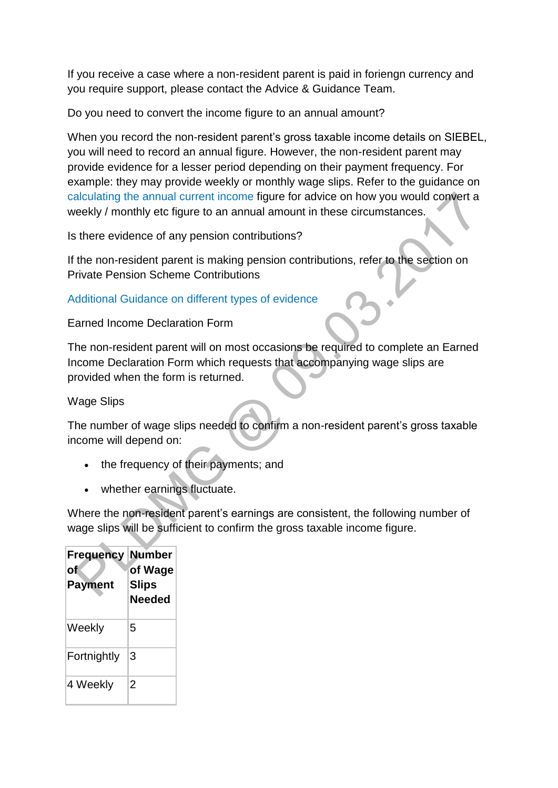If you receive a case where a non-resident parent is paid in foriengn currency and you require support, please contact the Advice & Guidance Team.

Do you need to convert the income figure to an annual amount?

When you record the non-resident parent's gross taxable income details on SIEBEL, you will need to record an annual figure. However, the non-resident parent may provide evidence for a lesser period depending on their payment frequency. For example: they may provide weekly or monthly wage slips. Refer to the guidance on [calculating the annual current income](http://np-cmg-sharepoint.link2.gpn.gov.uk/sites/policy-law-and-decision-making-guidance/Pages/Calculations/General/Current-income-employed.aspx#al) figure for advice on how you would convert a weekly / monthly etc figure to an annual amount in these circumstances.

Is there evidence of any pension contributions?

If the non-resident parent is making pension contributions, refer to the section on Private Pension Scheme Contributions

### [Additional Guidance on different types of evidence](http://np-cmg-sharepoint.link2.gpn.gov.uk/sites/policy-law-and-decision-making-guidance/Pages/Calculations/General/Current-income-employed.aspx?ControlMode=Edit&DisplayMode=Design)

Earned Income Declaration Form

The non-resident parent will on most occasions be required to complete an Earned Income Declaration Form which requests that accompanying wage slips are provided when the form is returned.

Wage Slips

The number of wage slips needed to confirm a non-resident parent's gross taxable income will depend on:

- the frequency of their payments; and
- whether earnings fluctuate.

Where the non-resident parent's earnings are consistent, the following number of wage slips will be sufficient to confirm the gross taxable income figure.

| Frequency<br>оf<br>Payment | <b>Number</b><br>of Wage<br><b>Slips</b><br><b>Needed</b> |
|----------------------------|-----------------------------------------------------------|
| Weekly                     | 5                                                         |
| Fortnightly                | 3                                                         |
| 4 Weekly                   | 2                                                         |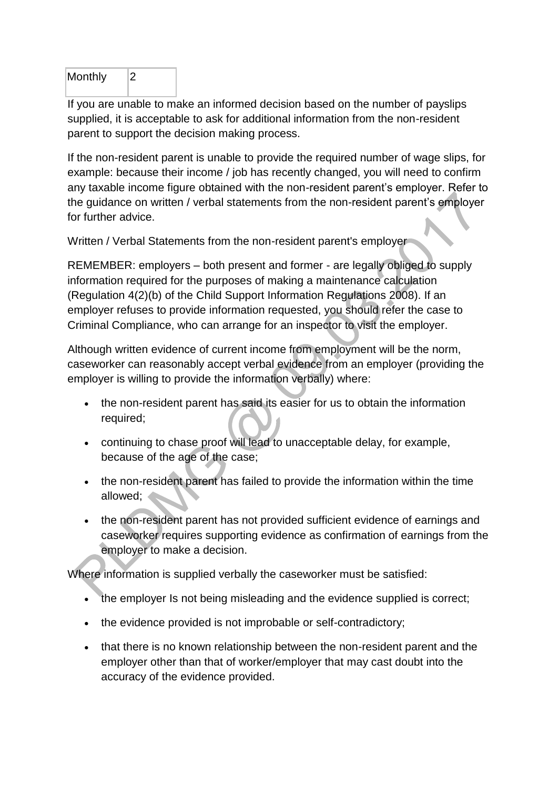| Monthly |  |
|---------|--|
|         |  |

If you are unable to make an informed decision based on the number of payslips supplied, it is acceptable to ask for additional information from the non-resident parent to support the decision making process.

If the non-resident parent is unable to provide the required number of wage slips, for example: because their income / job has recently changed, you will need to confirm any taxable income figure obtained with the non-resident parent's employer. Refer to the guidance on written / verbal statements from the non-resident parent's employer for further advice.

Written / Verbal Statements from the non-resident parent's employer

REMEMBER: employers – both present and former - are legally obliged to supply information required for the purposes of making a maintenance calculation (Regulation 4(2)(b) of the Child Support Information Regulations 2008). If an employer refuses to provide information requested, you should refer the case to Criminal Compliance, who can arrange for an inspector to visit the employer.

Although written evidence of current income from employment will be the norm, caseworker can reasonably accept verbal evidence from an employer (providing the employer is willing to provide the information verbally) where:

- the non-resident parent has said its easier for us to obtain the information required;
- continuing to chase proof will lead to unacceptable delay, for example, because of the age of the case;
- the non-resident parent has failed to provide the information within the time allowed;
- the non-resident parent has not provided sufficient evidence of earnings and caseworker requires supporting evidence as confirmation of earnings from the employer to make a decision.

Where information is supplied verbally the caseworker must be satisfied:

- the employer Is not being misleading and the evidence supplied is correct;
- the evidence provided is not improbable or self-contradictory;
- that there is no known relationship between the non-resident parent and the employer other than that of worker/employer that may cast doubt into the accuracy of the evidence provided.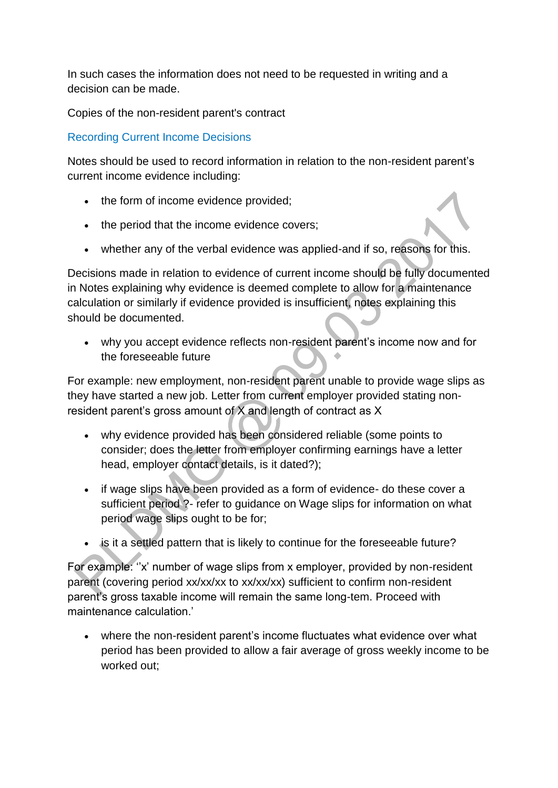In such cases the information does not need to be requested in writing and a decision can be made.

Copies of the non-resident parent's contract

[Recording Current Income Decisions](http://np-cmg-sharepoint.link2.gpn.gov.uk/sites/policy-law-and-decision-making-guidance/Pages/Calculations/General/Current-income-employed.aspx?ControlMode=Edit&DisplayMode=Design)

Notes should be used to record information in relation to the non-resident parent's current income evidence including:

- the form of income evidence provided;
- the period that the income evidence covers;
- whether any of the verbal evidence was applied-and if so, reasons for this.

Decisions made in relation to evidence of current income should be fully documented in Notes explaining why evidence is deemed complete to allow for a maintenance calculation or similarly if evidence provided is insufficient, notes explaining this should be documented.

 why you accept evidence reflects non-resident parent's income now and for the foreseeable future

For example: new employment, non-resident parent unable to provide wage slips as they have started a new job. Letter from current employer provided stating nonresident parent's gross amount of X and length of contract as X

- why evidence provided has been considered reliable (some points to consider; does the letter from employer confirming earnings have a letter head, employer contact details, is it dated?);
- if wage slips have been provided as a form of evidence- do these cover a sufficient period ?- refer to guidance on Wage slips for information on what period wage slips ought to be for;
- is it a settled pattern that is likely to continue for the foreseeable future?

For example: "x' number of wage slips from x employer, provided by non-resident parent (covering period xx/xx/xx to xx/xx/xx) sufficient to confirm non-resident parent's gross taxable income will remain the same long-tem. Proceed with maintenance calculation.'

 where the non-resident parent's income fluctuates what evidence over what period has been provided to allow a fair average of gross weekly income to be worked out;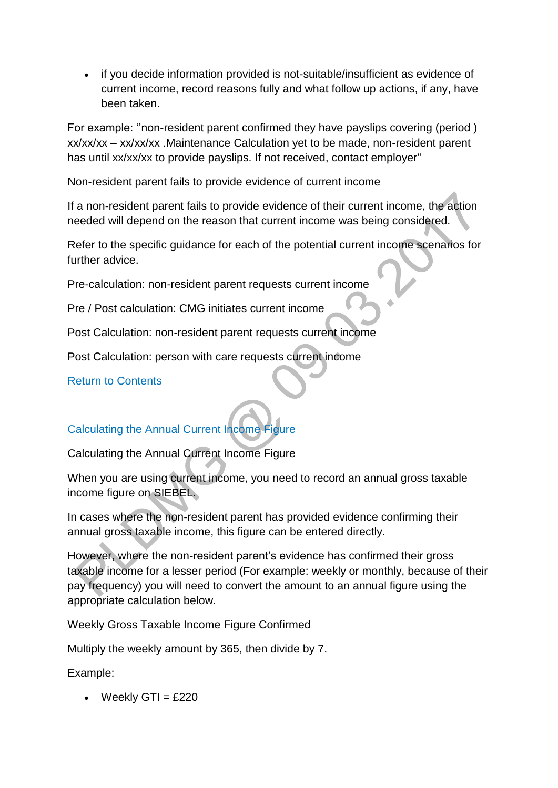• if you decide information provided is not-suitable/insufficient as evidence of current income, record reasons fully and what follow up actions, if any, have been taken.

For example: ''non-resident parent confirmed they have payslips covering (period ) xx/xx/xx – xx/xx/xx .Maintenance Calculation yet to be made, non-resident parent has until xx/xx/xx to provide payslips. If not received, contact employer"

Non-resident parent fails to provide evidence of current income

If a non-resident parent fails to provide evidence of their current income, the action needed will depend on the reason that current income was being considered.

Refer to the specific guidance for each of the potential current income scenarios for further advice.

Pre-calculation: non-resident parent requests current income

Pre / Post calculation: CMG initiates current income

Post Calculation: non-resident parent requests current income

Post Calculation: person with care requests current income

### [Return to Contents](http://np-cmg-sharepoint.link2.gpn.gov.uk/sites/policy-law-and-decision-making-guidance/Pages/Calculations/General/Current-income-employed.aspx#con)

# [Calculating the Annual Current Income Figure](http://np-cmg-sharepoint.link2.gpn.gov.uk/sites/policy-law-and-decision-making-guidance/Pages/Calculations/General/Current-income-employed.aspx?ControlMode=Edit&DisplayMode=Design)

Calculating the Annual Current Income Figure

When you are using current income, you need to record an annual gross taxable income figure on SIEBEL.

In cases where the non-resident parent has provided evidence confirming their annual gross taxable income, this figure can be entered directly.

However, where the non-resident parent's evidence has confirmed their gross taxable income for a lesser period (For example: weekly or monthly, because of their pay frequency) you will need to convert the amount to an annual figure using the appropriate calculation below.

Weekly Gross Taxable Income Figure Confirmed

Multiply the weekly amount by 365, then divide by 7.

Example:

 $\bullet$  Weekly GTI = £220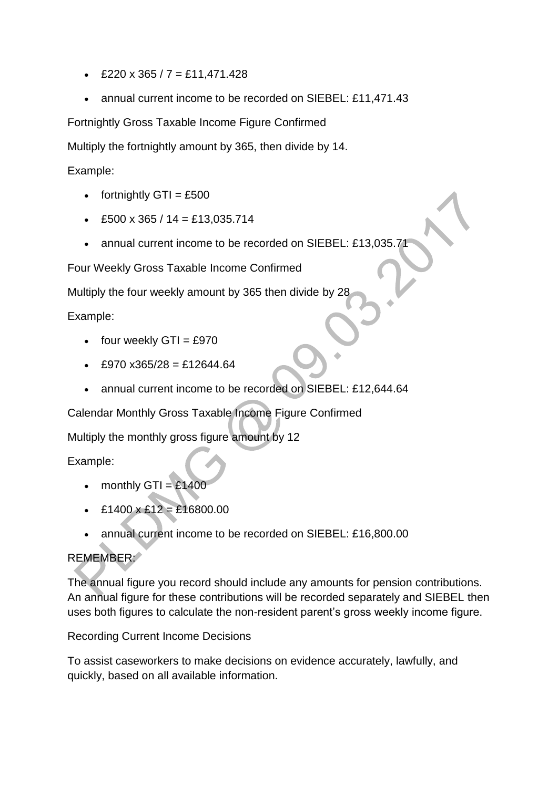- £220 x 365 / 7 = £11,471.428
- annual current income to be recorded on SIEBEL: £11,471.43

Fortnightly Gross Taxable Income Figure Confirmed

Multiply the fortnightly amount by 365, then divide by 14.

Example:

- fortnightly  $GTI = £500$
- $\text{\textdegree}$  £500 x 365 / 14 = £13,035.714
- annual current income to be recorded on SIEBEL: £13,035.71

Four Weekly Gross Taxable Income Confirmed

Multiply the four weekly amount by 365 then divide by 28

Example:

- $\bullet$  four weekly GTI = £970
- $E970 \times 365/28 = £12644.64$
- annual current income to be recorded on SIEBEL: £12,644.64

Calendar Monthly Gross Taxable Income Figure Confirmed

Multiply the monthly gross figure amount by 12

Example:

- monthly  $GTI = £1400$
- $\text{£}1400 \times \text{£}12 = \text{£}16800.00$
- annual current income to be recorded on SIEBEL: £16,800.00

# REMEMBER:

The annual figure you record should include any amounts for pension contributions. An annual figure for these contributions will be recorded separately and SIEBEL then uses both figures to calculate the non-resident parent's gross weekly income figure.

Recording Current Income Decisions

To assist caseworkers to make decisions on evidence accurately, lawfully, and quickly, based on all available information.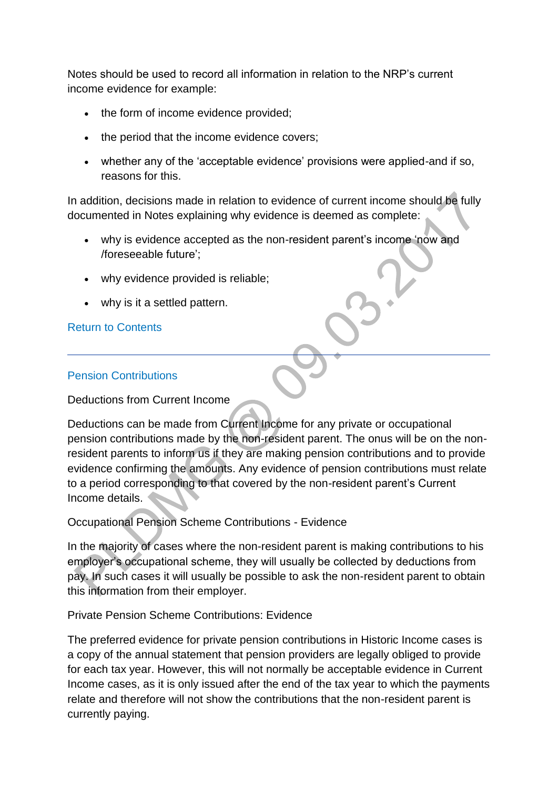Notes should be used to record all information in relation to the NRP's current income evidence for example:

- the form of income evidence provided;
- the period that the income evidence covers;
- whether any of the 'acceptable evidence' provisions were applied-and if so, reasons for this.

In addition, decisions made in relation to evidence of current income should be fully documented in Notes explaining why evidence is deemed as complete:

- why is evidence accepted as the non-resident parent's income 'now and /foreseeable future';
- why evidence provided is reliable;
- why is it a settled pattern.

### [Return to Contents](http://np-cmg-sharepoint.link2.gpn.gov.uk/sites/policy-law-and-decision-making-guidance/Pages/Calculations/General/Current-income-employed.aspx#con)

#### [Pension Contributions](http://np-cmg-sharepoint.link2.gpn.gov.uk/sites/policy-law-and-decision-making-guidance/Pages/Calculations/General/Current-income-employed.aspx?ControlMode=Edit&DisplayMode=Design)

Deductions from Current Income

Deductions can be made from Current Income for any private or occupational pension contributions made by the non-resident parent. The onus will be on the nonresident parents to inform us if they are making pension contributions and to provide evidence confirming the amounts. Any evidence of pension contributions must relate to a period corresponding to that covered by the non-resident parent's Current Income details.

Occupational Pension Scheme Contributions - Evidence

In the majority of cases where the non-resident parent is making contributions to his employer's occupational scheme, they will usually be collected by deductions from pay. In such cases it will usually be possible to ask the non-resident parent to obtain this information from their employer.

Private Pension Scheme Contributions: Evidence

The preferred evidence for private pension contributions in Historic Income cases is a copy of the annual statement that pension providers are legally obliged to provide for each tax year. However, this will not normally be acceptable evidence in Current Income cases, as it is only issued after the end of the tax year to which the payments relate and therefore will not show the contributions that the non-resident parent is currently paying.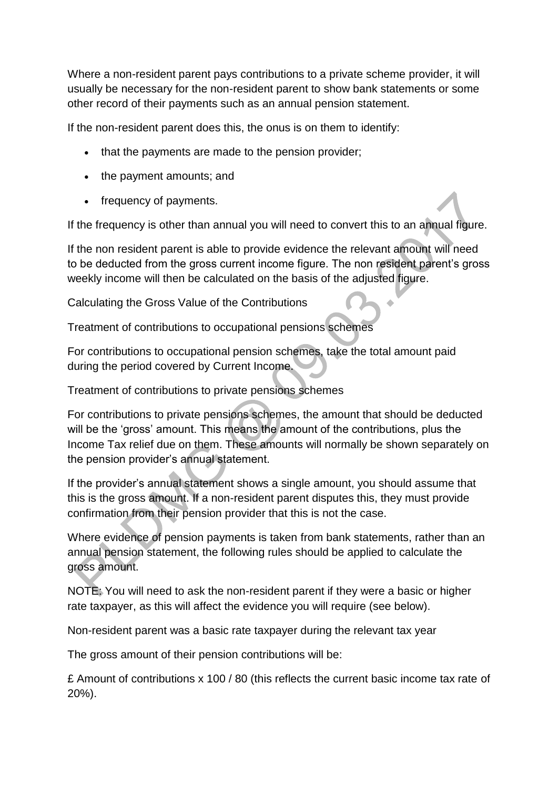Where a non-resident parent pays contributions to a private scheme provider, it will usually be necessary for the non-resident parent to show bank statements or some other record of their payments such as an annual pension statement.

If the non-resident parent does this, the onus is on them to identify:

- that the payments are made to the pension provider:
- the payment amounts; and
- frequency of payments.

If the frequency is other than annual you will need to convert this to an annual figure.

If the non resident parent is able to provide evidence the relevant amount will need to be deducted from the gross current income figure. The non resident parent's gross weekly income will then be calculated on the basis of the adjusted figure.

Calculating the Gross Value of the Contributions

Treatment of contributions to occupational pensions schemes

For contributions to occupational pension schemes, take the total amount paid during the period covered by Current Income.

Treatment of contributions to private pensions schemes

For contributions to private pensions schemes, the amount that should be deducted will be the 'gross' amount. This means the amount of the contributions, plus the Income Tax relief due on them. These amounts will normally be shown separately on the pension provider's annual statement.

If the provider's annual statement shows a single amount, you should assume that this is the gross amount. If a non-resident parent disputes this, they must provide confirmation from their pension provider that this is not the case.

Where evidence of pension payments is taken from bank statements, rather than an annual pension statement, the following rules should be applied to calculate the gross amount.

NOTE: You will need to ask the non-resident parent if they were a basic or higher rate taxpayer, as this will affect the evidence you will require (see below).

Non-resident parent was a basic rate taxpayer during the relevant tax year

The gross amount of their pension contributions will be:

£ Amount of contributions x 100 / 80 (this reflects the current basic income tax rate of 20%).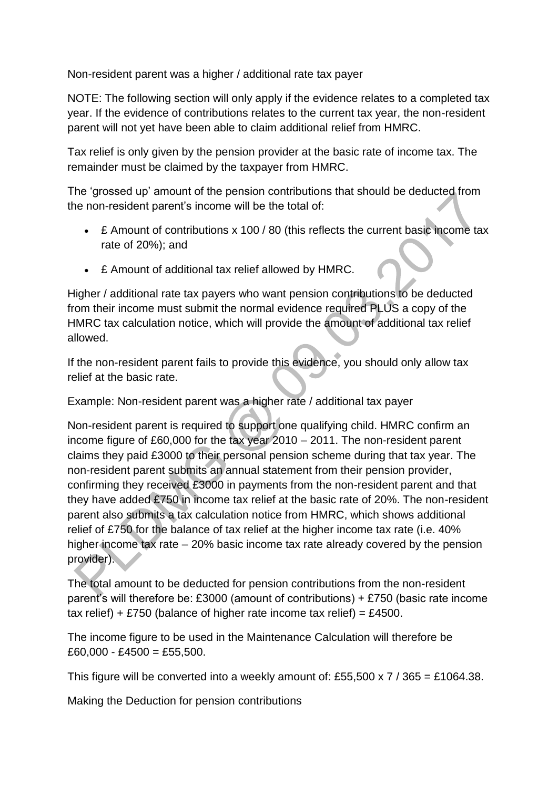Non-resident parent was a higher / additional rate tax payer

NOTE: The following section will only apply if the evidence relates to a completed tax year. If the evidence of contributions relates to the current tax year, the non-resident parent will not yet have been able to claim additional relief from HMRC.

Tax relief is only given by the pension provider at the basic rate of income tax. The remainder must be claimed by the taxpayer from HMRC.

The 'grossed up' amount of the pension contributions that should be deducted from the non-resident parent's income will be the total of:

- £ Amount of contributions x 100 / 80 (this reflects the current basic income tax rate of 20%); and
- £ Amount of additional tax relief allowed by HMRC.

Higher / additional rate tax payers who want pension contributions to be deducted from their income must submit the normal evidence required PLUS a copy of the HMRC tax calculation notice, which will provide the amount of additional tax relief allowed.

If the non-resident parent fails to provide this evidence, you should only allow tax relief at the basic rate.

Example: Non-resident parent was a higher rate / additional tax payer

Non-resident parent is required to support one qualifying child. HMRC confirm an income figure of £60,000 for the tax year 2010 – 2011. The non-resident parent claims they paid £3000 to their personal pension scheme during that tax year. The non-resident parent submits an annual statement from their pension provider, confirming they received £3000 in payments from the non-resident parent and that they have added £750 in income tax relief at the basic rate of 20%. The non-resident parent also submits a tax calculation notice from HMRC, which shows additional relief of £750 for the balance of tax relief at the higher income tax rate (i.e. 40% higher income tax rate – 20% basic income tax rate already covered by the pension provider).

The total amount to be deducted for pension contributions from the non-resident parent's will therefore be: £3000 (amount of contributions) + £750 (basic rate income tax relief) + £750 (balance of higher rate income tax relief) = £4500.

The income figure to be used in the Maintenance Calculation will therefore be  $£60,000 - £4500 = £55,500.$ 

This figure will be converted into a weekly amount of: £55,500 x 7 / 365 = £1064.38.

Making the Deduction for pension contributions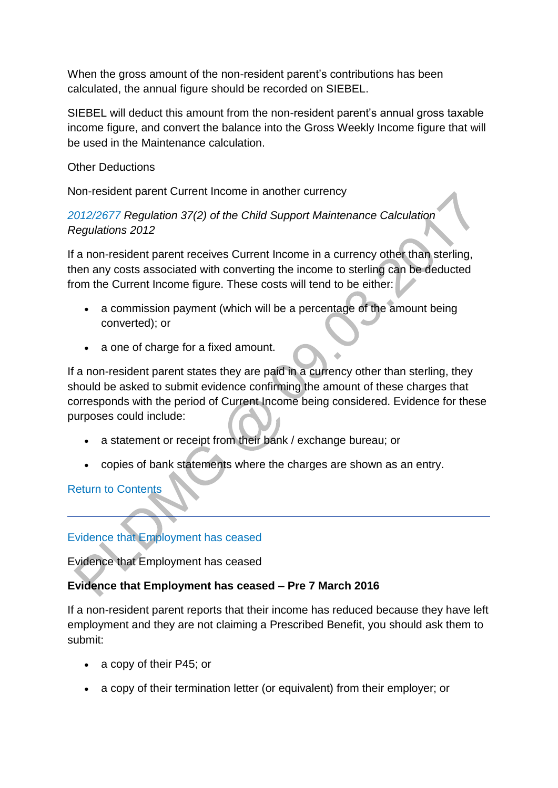When the gross amount of the non-resident parent's contributions has been calculated, the annual figure should be recorded on SIEBEL.

SIEBEL will deduct this amount from the non-resident parent's annual gross taxable income figure, and convert the balance into the Gross Weekly Income figure that will be used in the Maintenance calculation.

Other Deductions

Non-resident parent Current Income in another currency

*[2012/2677](http://www.legislation.gov.uk/uksi/2012/2677) Regulation 37(2) of the Child Support Maintenance Calculation Regulations 2012*

If a non-resident parent receives Current Income in a currency other than sterling, then any costs associated with converting the income to sterling can be deducted from the Current Income figure. These costs will tend to be either:

- a commission payment (which will be a percentage of the amount being converted); or
- a one of charge for a fixed amount.

If a non-resident parent states they are paid in a currency other than sterling, they should be asked to submit evidence confirming the amount of these charges that corresponds with the period of Current Income being considered. Evidence for these purposes could include:

- a statement or receipt from their bank / exchange bureau; or
- copies of bank statements where the charges are shown as an entry.

[Return to Contents](http://np-cmg-sharepoint.link2.gpn.gov.uk/sites/policy-law-and-decision-making-guidance/Pages/Calculations/General/Current-income-employed.aspx#con)

# [Evidence that Employment has ceased](http://np-cmg-sharepoint.link2.gpn.gov.uk/sites/policy-law-and-decision-making-guidance/Pages/Calculations/General/Current-income-employed.aspx?ControlMode=Edit&DisplayMode=Design)

Evidence that Employment has ceased

### **Evidence that Employment has ceased – Pre 7 March 2016**

If a non-resident parent reports that their income has reduced because they have left employment and they are not claiming a Prescribed Benefit, you should ask them to submit:

- a copy of their P45; or
- a copy of their termination letter (or equivalent) from their employer; or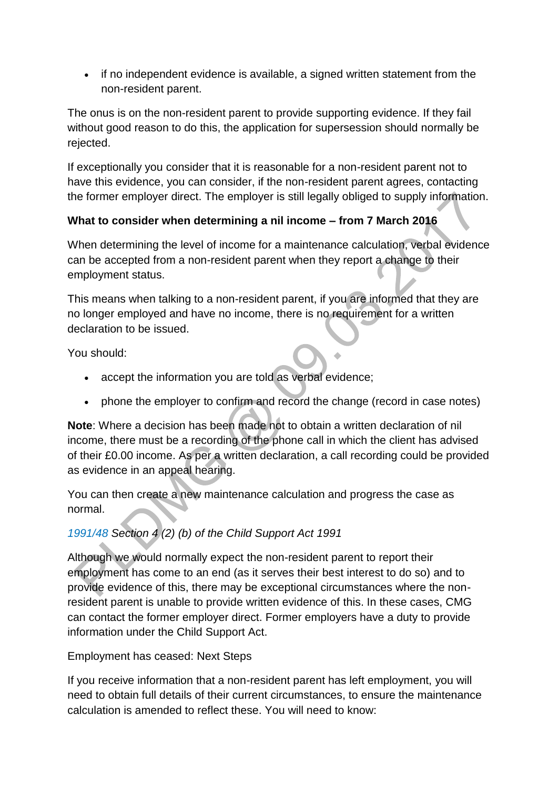• if no independent evidence is available, a signed written statement from the non-resident parent.

The onus is on the non-resident parent to provide supporting evidence. If they fail without good reason to do this, the application for supersession should normally be rejected.

If exceptionally you consider that it is reasonable for a non-resident parent not to have this evidence, you can consider, if the non-resident parent agrees, contacting the former employer direct. The employer is still legally obliged to supply information.

# **What to consider when determining a nil income – from 7 March 2016**

When determining the level of income for a maintenance calculation, verbal evidence can be accepted from a non-resident parent when they report a change to their employment status.

This means when talking to a non-resident parent, if you are informed that they are no longer employed and have no income, there is no requirement for a written declaration to be issued.

You should:

- accept the information you are told as verbal evidence;
- phone the employer to confirm and record the change (record in case notes)

**Note**: Where a decision has been made not to obtain a written declaration of nil income, there must be a recording of the phone call in which the client has advised of their £0.00 income. As per a written declaration, a call recording could be provided as evidence in an appeal hearing.

You can then create a new maintenance calculation and progress the case as normal.

# *[1991/48](http://www.legislation.gov.uk/ukpga/1991/48) Section 4 (2) (b) of the Child Support Act 1991*

Although we would normally expect the non-resident parent to report their employment has come to an end (as it serves their best interest to do so) and to provide evidence of this, there may be exceptional circumstances where the nonresident parent is unable to provide written evidence of this. In these cases, CMG can contact the former employer direct. Former employers have a duty to provide information under the Child Support Act.

Employment has ceased: Next Steps

If you receive information that a non-resident parent has left employment, you will need to obtain full details of their current circumstances, to ensure the maintenance calculation is amended to reflect these. You will need to know: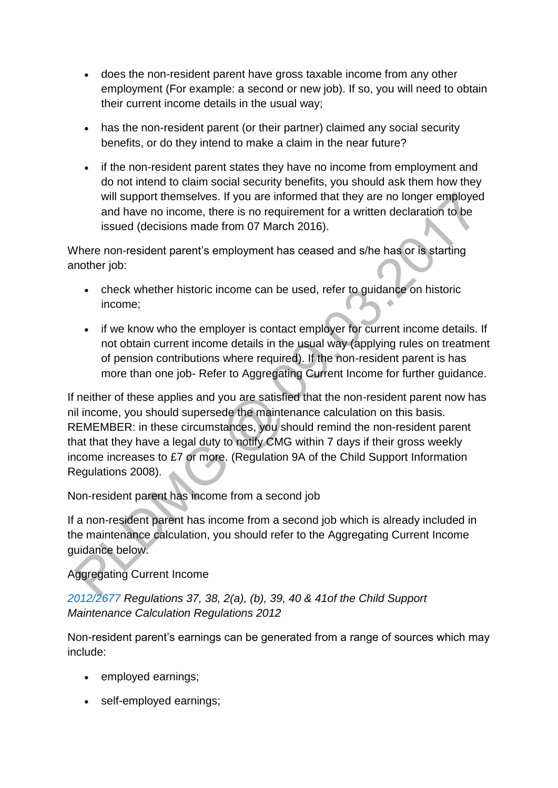- does the non-resident parent have gross taxable income from any other employment (For example: a second or new job). If so, you will need to obtain their current income details in the usual way;
- has the non-resident parent (or their partner) claimed any social security benefits, or do they intend to make a claim in the near future?
- if the non-resident parent states they have no income from employment and do not intend to claim social security benefits, you should ask them how they will support themselves. If you are informed that they are no longer employed and have no income, there is no requirement for a written declaration to be issued (decisions made from 07 March 2016).

Where non-resident parent's employment has ceased and s/he has or is starting another job:

- check whether historic income can be used, refer to guidance on historic income;
- if we know who the employer is contact employer for current income details. If not obtain current income details in the usual way (applying rules on treatment of pension contributions where required). If the non-resident parent is has more than one job- Refer to Aggregating Current Income for further guidance.

If neither of these applies and you are satisfied that the non-resident parent now has nil income, you should supersede the maintenance calculation on this basis. REMEMBER: in these circumstances, you should remind the non-resident parent that that they have a legal duty to notify CMG within 7 days if their gross weekly income increases to £7 or more. (Regulation 9A of the Child Support Information Regulations 2008).

Non-resident parent has income from a second job

If a non-resident parent has income from a second job which is already included in the maintenance calculation, you should refer to the Aggregating Current Income guidance below.

Aggregating Current Income

*[2012/2677](http://www.legislation.gov.uk/uksi/2012/2677) Regulations 37, 38, 2(a), (b), 39, 40 & 41of the Child Support Maintenance Calculation Regulations 2012*

Non-resident parent's earnings can be generated from a range of sources which may include:

- employed earnings;
- self-employed earnings;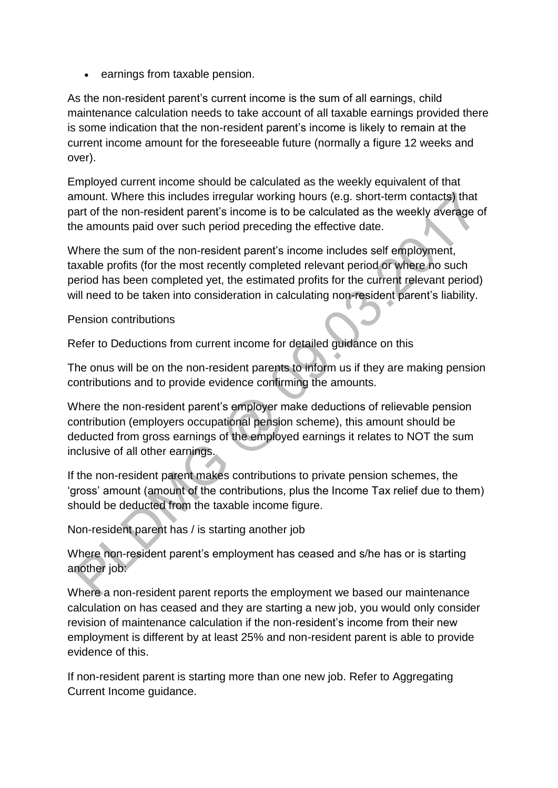• earnings from taxable pension.

As the non-resident parent's current income is the sum of all earnings, child maintenance calculation needs to take account of all taxable earnings provided there is some indication that the non-resident parent's income is likely to remain at the current income amount for the foreseeable future (normally a figure 12 weeks and over).

Employed current income should be calculated as the weekly equivalent of that amount. Where this includes irregular working hours (e.g. short-term contacts) that part of the non-resident parent's income is to be calculated as the weekly average of the amounts paid over such period preceding the effective date.

Where the sum of the non-resident parent's income includes self employment, taxable profits (for the most recently completed relevant period or where no such period has been completed yet, the estimated profits for the current relevant period) will need to be taken into consideration in calculating non-resident parent's liability.

Pension contributions

Refer to Deductions from current income for detailed guidance on this

The onus will be on the non-resident parents to inform us if they are making pension contributions and to provide evidence confirming the amounts.

Where the non-resident parent's employer make deductions of relievable pension contribution (employers occupational pension scheme), this amount should be deducted from gross earnings of the employed earnings it relates to NOT the sum inclusive of all other earnings.

If the non-resident parent makes contributions to private pension schemes, the 'gross' amount (amount of the contributions, plus the Income Tax relief due to them) should be deducted from the taxable income figure.

Non-resident parent has / is starting another job

Where non-resident parent's employment has ceased and s/he has or is starting another job:

Where a non-resident parent reports the employment we based our maintenance calculation on has ceased and they are starting a new job, you would only consider revision of maintenance calculation if the non-resident's income from their new employment is different by at least 25% and non-resident parent is able to provide evidence of this.

If non-resident parent is starting more than one new job. Refer to Aggregating Current Income guidance.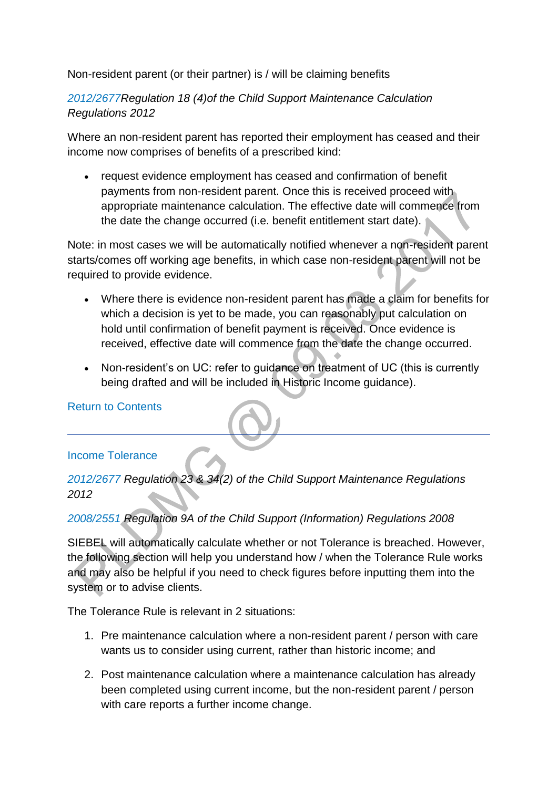Non-resident parent (or their partner) is / will be claiming benefits

*[2012/2677R](http://www.legislation.gov.uk/uksi/2012/2677)egulation 18 (4)of the Child Support Maintenance Calculation Regulations 2012*

Where an non-resident parent has reported their employment has ceased and their income now comprises of benefits of a prescribed kind:

 request evidence employment has ceased and confirmation of benefit payments from non-resident parent. Once this is received proceed with appropriate maintenance calculation. The effective date will commence from the date the change occurred (i.e. benefit entitlement start date).

Note: in most cases we will be automatically notified whenever a non-resident parent starts/comes off working age benefits, in which case non-resident parent will not be required to provide evidence.

- Where there is evidence non-resident parent has made a claim for benefits for which a decision is yet to be made, you can reasonably put calculation on hold until confirmation of benefit payment is received. Once evidence is received, effective date will commence from the date the change occurred.
- Non-resident's on UC: refer to guidance on treatment of UC (this is currently being drafted and will be included in Historic Income guidance).

#### [Return to Contents](http://np-cmg-sharepoint.link2.gpn.gov.uk/sites/policy-law-and-decision-making-guidance/Pages/Calculations/General/Current-income-employed.aspx#con)

#### [Income Tolerance](http://np-cmg-sharepoint.link2.gpn.gov.uk/sites/policy-law-and-decision-making-guidance/Pages/Calculations/General/Current-income-employed.aspx?ControlMode=Edit&DisplayMode=Design)

*[2012/2677](http://www.legislation.gov.uk/uksi/2012/2677) Regulation 23 & 34(2) of the Child Support Maintenance Regulations 2012*

### *[2008/2551 R](http://www.legislation.gov.uk/uksi/2008/2551/contents)egulation 9A of the Child Support (Information) Regulations 2008*

SIEBEL will automatically calculate whether or not Tolerance is breached. However, the following section will help you understand how / when the Tolerance Rule works and may also be helpful if you need to check figures before inputting them into the system or to advise clients.

The Tolerance Rule is relevant in 2 situations:

- 1. Pre maintenance calculation where a non-resident parent / person with care wants us to consider using current, rather than historic income; and
- 2. Post maintenance calculation where a maintenance calculation has already been completed using current income, but the non-resident parent / person with care reports a further income change.